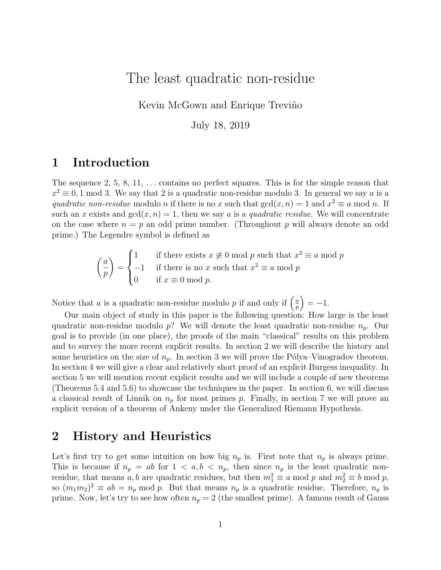# The least quadratic non-residue

Kevin McGown and Enrique Treviño

July 18, 2019

### 1 Introduction

The sequence 2, 5, 8, 11,  $\dots$  contains no perfect squares. This is for the simple reason that  $x^2 \equiv 0, 1 \mod 3$ . We say that 2 is a quadratic non-residue modulo 3. In general we say a is a quadratic non-residue modulo n if there is no x such that  $gcd(x, n) = 1$  and  $x^2 \equiv a \mod n$ . If such an x exists and  $gcd(x, n) = 1$ , then we say a is a quadratic residue. We will concentrate on the case where  $n = p$  an odd prime number. (Throughout p will always denote an odd prime.) The Legendre symbol is defined as

$$
\begin{pmatrix} a \\ p \end{pmatrix} = \begin{cases} 1 & \text{if there exists } x \not\equiv 0 \text{ mod } p \text{ such that } x^2 \equiv a \text{ mod } p \\ -1 & \text{if there is no } x \text{ such that } x^2 \equiv a \text{ mod } p \\ 0 & \text{if } x \equiv 0 \text{ mod } p. \end{cases}
$$

Notice that a is a quadratic non-residue modulo p if and only if  $\left(\frac{a}{n}\right)$  $\left(\frac{a}{p}\right) = -1.$ 

Our main object of study in this paper is the following question: How large is the least quadratic non-residue modulo p? We will denote the least quadratic non-residue  $n_p$ . Our goal is to provide (in one place), the proofs of the main "classical" results on this problem and to survey the more recent explicit results. In section 2 we will describe the history and some heuristics on the size of  $n_p$ . In section 3 we will prove the Pólya–Vinogradov theorem. In section 4 we will give a clear and relatively short proof of an explicit Burgess inequality. In section 5 we will mention recent explicit results and we will include a couple of new theorems (Theorems 5.4 and 5.6) to showcase the techniques in the paper. In section 6, we will discuss a classical result of Linnik on  $n_p$  for most primes p. Finally, in section 7 we will prove an explicit version of a theorem of Ankeny under the Generalized Riemann Hypothesis.

### 2 History and Heuristics

Let's first try to get some intuition on how big  $n_p$  is. First note that  $n_p$  is always prime. This is because if  $n_p = ab$  for  $1 < a, b < n_p$ , then since  $n_p$  is the least quadratic nonresidue, that means a, b are quadratic residues, but then  $m_1^2 \equiv a \mod p$  and  $m_2^2 \equiv b \mod p$ , so  $(m_1m_2)^2 \equiv ab = n_p \mod p$ . But that means  $n_p$  is a quadratic residue. Therefore,  $n_p$  is prime. Now, let's try to see how often  $n_p = 2$  (the smallest prime). A famous result of Gauss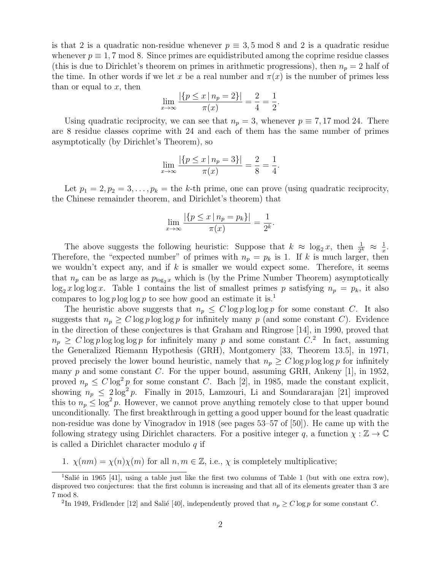is that 2 is a quadratic non-residue whenever  $p \equiv 3, 5 \mod 8$  and 2 is a quadratic residue whenever  $p \equiv 1, 7 \mod 8$ . Since primes are equidistributed among the coprime residue classes (this is due to Dirichlet's theorem on primes in arithmetic progressions), then  $n_p = 2$  half of the time. In other words if we let x be a real number and  $\pi(x)$  is the number of primes less than or equal to  $x$ , then

$$
\lim_{x \to \infty} \frac{|\{p \le x \mid n_p = 2\}|}{\pi(x)} = \frac{2}{4} = \frac{1}{2}.
$$

Using quadratic reciprocity, we can see that  $n_p = 3$ , whenever  $p \equiv 7,17 \mod 24$ . There are 8 residue classes coprime with 24 and each of them has the same number of primes asymptotically (by Dirichlet's Theorem), so

$$
\lim_{x \to \infty} \frac{|\{p \le x \mid n_p = 3\}|}{\pi(x)} = \frac{2}{8} = \frac{1}{4}.
$$

Let  $p_1 = 2, p_2 = 3, \ldots, p_k =$  the k-th prime, one can prove (using quadratic reciprocity, the Chinese remainder theorem, and Dirichlet's theorem) that

$$
\lim_{x \to \infty} \frac{|\{p \le x \mid n_p = p_k\}|}{\pi(x)} = \frac{1}{2^k}.
$$

The above suggests the following heuristic: Suppose that  $k \approx \log_2 x$ , then  $\frac{1}{2^k} \approx \frac{1}{x}$  $\frac{1}{x}$ . Therefore, the "expected number" of primes with  $n_p = p_k$  is 1. If k is much larger, then we wouldn't expect any, and if  $k$  is smaller we would expect some. Therefore, it seems that  $n_p$  can be as large as  $p_{\log_2 x}$  which is (by the Prime Number Theorem) asymptotically  $\log_2 x \log \log x$ . Table 1 contains the list of smallest primes p satisfying  $n_p = p_k$ , it also compares to  $\log p \log \log p$  to see how good an estimate it is.<sup>1</sup>

The heuristic above suggests that  $n_p \leq C \log p \log \log p$  for some constant C. It also suggests that  $n_p \geq C \log p \log \log p$  for infinitely many p (and some constant C). Evidence in the direction of these conjectures is that Graham and Ringrose [14], in 1990, proved that  $n_p \geq C \log p \log \log p$  for infinitely many p and some constant  $C<sup>2</sup>$ . In fact, assuming the Generalized Riemann Hypothesis (GRH), Montgomery [33, Theorem 13.5], in 1971, proved precisely the lower bound heuristic, namely that  $n_p \geq C \log p \log \log p$  for infinitely many  $p$  and some constant  $C$ . For the upper bound, assuming GRH, Ankeny [1], in 1952, proved  $n_p \leq C \log^2 p$  for some constant C. Bach [2], in 1985, made the constant explicit, showing  $n_p \leq 2 \log^2 p$ . Finally in 2015, Lamzouri, Li and Soundararajan [21] improved this to  $n_p \leq \log^2 p$ . However, we cannot prove anything remotely close to that upper bound unconditionally. The first breakthrough in getting a good upper bound for the least quadratic non-residue was done by Vinogradov in 1918 (see pages 53–57 of [50]). He came up with the following strategy using Dirichlet characters. For a positive integer q, a function  $\chi : \mathbb{Z} \to \mathbb{C}$ is called a Dirichlet character modulo  $q$  if

1.  $\chi(nm) = \chi(n)\chi(m)$  for all  $n, m \in \mathbb{Z}$ , i.e.,  $\chi$  is completely multiplicative;

<sup>&</sup>lt;sup>1</sup>Salié in 1965 [41], using a table just like the first two columns of Table 1 (but with one extra row), disproved two conjectures: that the first column is increasing and that all of its elements greater than 3 are 7 mod 8.

<sup>&</sup>lt;sup>2</sup>In 1949, Fridlender [12] and Salié [40], independently proved that  $n_p \geq C \log p$  for some constant C.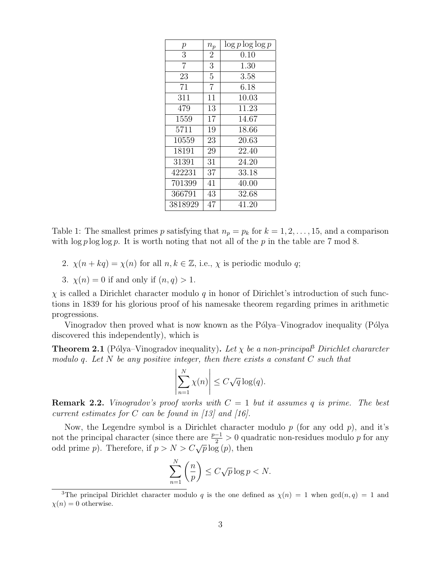| р              | $n_p$          | $\log p \log \log p$ |
|----------------|----------------|----------------------|
| 3              | $\overline{2}$ | 0.10                 |
| $\overline{7}$ | $\overline{3}$ | 1.30                 |
| 23             | $\overline{5}$ | 3.58                 |
| 71             | $\overline{7}$ | 6.18                 |
| 311            | 11             | 10.03                |
| 479            | 13             | 11.23                |
| 1559           | 17             | 14.67                |
| 5711           | 19             | 18.66                |
| 10559          | 23             | 20.63                |
| 18191          | 29             | 22.40                |
| 31391          | 31             | 24.20                |
| 422231         | 37             | 33.18                |
| 701399         | 41             | 40.00                |
| 366791         | 43             | 32.68                |
| 3818929        | 47             | 41.20                |

Table 1: The smallest primes p satisfying that  $n_p = p_k$  for  $k = 1, 2, ..., 15$ , and a comparison with  $\log p \log \log p$ . It is worth noting that not all of the p in the table are 7 mod 8.

- 2.  $\chi(n + kq) = \chi(n)$  for all  $n, k \in \mathbb{Z}$ , i.e.,  $\chi$  is periodic modulo q;
- 3.  $\chi(n) = 0$  if and only if  $(n, q) > 1$ .

 $\chi$  is called a Dirichlet character modulo q in honor of Dirichlet's introduction of such functions in 1839 for his glorious proof of his namesake theorem regarding primes in arithmetic progressions.

Vinogradov then proved what is now known as the Pólya–Vinogradov inequality (Pólya discovered this independently), which is

**Theorem 2.1** (Pólya–Vinogradov inequality). Let  $\chi$  be a non-principal<sup>3</sup> Dirichlet character modulo q. Let N be any positive integer, then there exists a constant  $C$  such that

$$
\left|\sum_{n=1}^{N} \chi(n)\right| \le C\sqrt{q} \log(q).
$$

**Remark 2.2.** Vinogradov's proof works with  $C = 1$  but it assumes q is prime. The best current estimates for C can be found in  $\langle 13 \rangle$  and  $\langle 16 \rangle$ .

Now, the Legendre symbol is a Dirichlet character modulo  $p$  (for any odd  $p$ ), and it's not the principal character (since there are  $\frac{p-1}{2} > 0$  quadratic non-residues modulo p for any odd prime p). Therefore, if  $p > N > C\sqrt{p} \log(p)$ , then

$$
\sum_{n=1}^{N} \left(\frac{n}{p}\right) \le C\sqrt{p}\log p < N.
$$

<sup>&</sup>lt;sup>3</sup>The principal Dirichlet character modulo q is the one defined as  $\chi(n) = 1$  when  $gcd(n, q) = 1$  and  $\chi(n) = 0$  otherwise.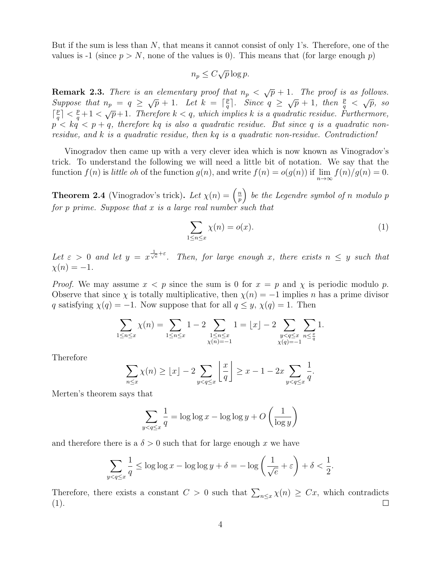But if the sum is less than  $N$ , that means it cannot consist of only 1's. Therefore, one of the values is -1 (since  $p > N$ , none of the values is 0). This means that (for large enough p)

$$
n_p \le C\sqrt{p}\log p.
$$

**Remark 2.3.** There is an elementary proof that  $n_p < \sqrt{p} + 1$ . The proof is as follows. Suppose that  $n_p = q \geq \sqrt{p} + 1$ . Let  $k = \lceil \frac{p}{q} \rceil$  $\frac{p}{q}$ . Since  $q \geq \sqrt{p} + 1$ , then  $\frac{p}{q} < \sqrt{p}$ , so  $\lceil \frac{p}{a} \rceil$  $\frac{p}{q} < \frac{p}{q} + 1 < \sqrt{p} + 1$ . Therefore  $k < q$ , which implies k is a quadratic residue. Furthermore,  $p < kq < p+q$ , therefore kq is also a quadratic residue. But since q is a quadratic nonresidue, and k is a quadratic residue, then kq is a quadratic non-residue. Contradiction!

Vinogradov then came up with a very clever idea which is now known as Vinogradov's trick. To understand the following we will need a little bit of notation. We say that the function  $f(n)$  is little oh of the function  $g(n)$ , and write  $f(n) = o(g(n))$  if  $\lim_{n \to \infty} f(n)/g(n) = 0$ .

**Theorem 2.4** (Vinogradov's trick). Let  $\chi(n) = \left(\frac{n}{n}\right)^n$  $\left(\frac{n}{p}\right)$  be the Legendre symbol of n modulo p for  $p$  prime. Suppose that  $x$  is a large real number such that

$$
\sum_{1 \le n \le x} \chi(n) = o(x). \tag{1}
$$

Let  $\varepsilon > 0$  and let  $y = x^{\frac{1}{\sqrt{e}} + \varepsilon}$ . Then, for large enough x, there exists  $n \leq y$  such that  $\chi(n) = -1.$ 

*Proof.* We may assume  $x < p$  since the sum is 0 for  $x = p$  and  $\chi$  is periodic modulo p. Observe that since  $\chi$  is totally multiplicative, then  $\chi(n) = -1$  implies n has a prime divisor q satisfying  $\chi(q) = -1$ . Now suppose that for all  $q \leq y$ ,  $\chi(q) = 1$ . Then

$$
\sum_{1 \le n \le x} \chi(n) = \sum_{1 \le n \le x} 1 - 2 \sum_{\substack{1 \le n \le x \\ \chi(n) = -1}} 1 = \lfloor x \rfloor - 2 \sum_{\substack{y < q \le x \\ \chi(q) = -1}} \sum_{n \le \frac{x}{q}} 1.
$$

Therefore

$$
\sum_{n \le x} \chi(n) \ge \lfloor x \rfloor - 2 \sum_{y < q \le x} \left\lfloor \frac{x}{q} \right\rfloor \ge x - 1 - 2x \sum_{y < q \le x} \frac{1}{q}.
$$

Merten's theorem says that

$$
\sum_{y < q \le x} \frac{1}{q} = \log \log x - \log \log y + O\left(\frac{1}{\log y}\right)
$$

and therefore there is a  $\delta > 0$  such that for large enough x we have

$$
\sum_{y < q \le x} \frac{1}{q} \le \log \log x - \log \log y + \delta = -\log \left( \frac{1}{\sqrt{e}} + \varepsilon \right) + \delta < \frac{1}{2}.
$$

Therefore, there exists a constant  $C > 0$  such that  $\sum_{n \leq x} \chi(n) \geq Cx$ , which contradicts (1).  $\Box$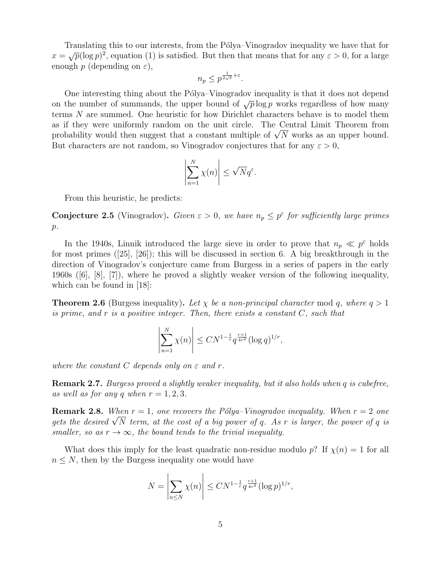Translating this to our interests, from the Pólya–Vinogradov inequality we have that for Translating this to our interests, from the Forya Vinogradov inequality we have that for<br>  $x = \sqrt{p}(\log p)^2$ , equation (1) is satisfied. But then that means that for any  $\varepsilon > 0$ , for a large enough  $p$  (depending on  $\varepsilon$ ),

$$
n_p \le p^{\frac{1}{2\sqrt{e}} + \varepsilon}.
$$

One interesting thing about the Pólya–Vinogradov inequality is that it does not depend on the number of summands, the upper bound of  $\sqrt{p} \log p$  works regardless of how many terms N are summed. One heuristic for how Dirichlet characters behave is to model them as if they were uniformly random on the unit circle. The Central Limit Theorem from as it they were uniformly random on the unit circle. The Central Limit Theorem from<br>probability would then suggest that a constant multiple of  $\sqrt{N}$  works as an upper bound. But characters are not random, so Vinogradov conjectures that for any  $\varepsilon > 0$ ,

$$
\left|\sum_{n=1}^N \chi(n)\right| \le \sqrt{N}q^{\varepsilon}.
$$

From this heuristic, he predicts:

**Conjecture 2.5** (Vinogradov). Given  $\varepsilon > 0$ , we have  $n_p \leq p^{\varepsilon}$  for sufficiently large primes  $p$ .

In the 1940s, Linnik introduced the large sieve in order to prove that  $n_p \ll p^{\epsilon}$  holds for most primes ([25], [26]); this will be discussed in section 6. A big breakthrough in the direction of Vinogradov's conjecture came from Burgess in a series of papers in the early 1960s ([6], [8], [7]), where he proved a slightly weaker version of the following inequality, which can be found in [18]:

**Theorem 2.6** (Burgess inequality). Let  $\chi$  be a non-principal character mod q, where  $q > 1$ is prime, and  $r$  is a positive integer. Then, there exists a constant  $C$ , such that

$$
\left|\sum_{n=1}^{N} \chi(n)\right| \leq CN^{1-\frac{1}{r}} q^{\frac{r+1}{4r^2}} (\log q)^{1/r},
$$

where the constant C depends only on  $\varepsilon$  and r.

Remark 2.7. Burgess proved a slightly weaker inequality, but it also holds when q is cubefree, as well as for any q when  $r = 1, 2, 3$ .

**Remark 2.8.** When  $r = 1$ , one recovers the Pólya–Vinogradov inequality. When  $r = 2$  one **Remark 2.8.** When  $r = 1$ , one recovers the Polya-Vinogradov inequality. When  $r = 2$  one gets the desired  $\sqrt{N}$  term, at the cost of a big power of q. As r is larger, the power of q is smaller, so as  $r \to \infty$ , the bound tends to the trivial inequality.

What does this imply for the least quadratic non-residue modulo p? If  $\chi(n) = 1$  for all  $n \leq N$ , then by the Burgess inequality one would have

$$
N = \left| \sum_{n \le N} \chi(n) \right| \le C N^{1 - \frac{1}{r}} q^{\frac{r+1}{4r^2}} (\log p)^{1/r},
$$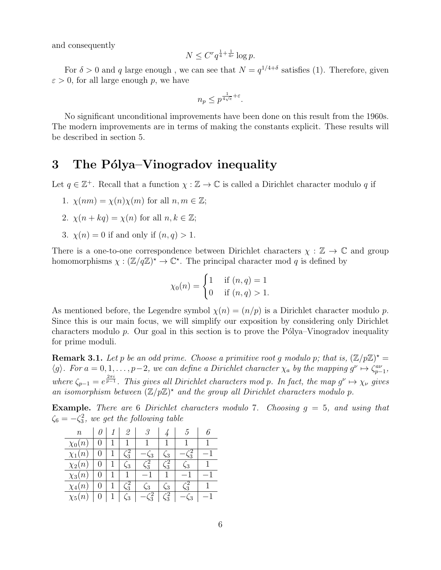and consequently

$$
N \le C^r q^{\frac{1}{4} + \frac{1}{4r}} \log p.
$$

For  $\delta > 0$  and q large enough, we can see that  $N = q^{1/4+\delta}$  satisfies (1). Therefore, given  $\varepsilon > 0$ , for all large enough p, we have

$$
n_p \le p^{\frac{1}{4\sqrt{e}} + \varepsilon}.
$$

No significant unconditional improvements have been done on this result from the 1960s. The modern improvements are in terms of making the constants explicit. These results will be described in section 5.

## 3 The Pólya–Vinogradov inequality

Let  $q \in \mathbb{Z}^+$ . Recall that a function  $\chi : \mathbb{Z} \to \mathbb{C}$  is called a Dirichlet character modulo q if

- 1.  $\chi(nm) = \chi(n)\chi(m)$  for all  $n, m \in \mathbb{Z}$ ;
- 2.  $\chi(n + kq) = \chi(n)$  for all  $n, k \in \mathbb{Z}$ ;
- 3.  $\chi(n) = 0$  if and only if  $(n, q) > 1$ .

There is a one-to-one correspondence between Dirichlet characters  $\chi : \mathbb{Z} \to \mathbb{C}$  and group homomorphisms  $\chi : (\mathbb{Z}/q\mathbb{Z})^* \to \mathbb{C}^*$ . The principal character mod q is defined by

$$
\chi_0(n) = \begin{cases} 1 & \text{if } (n, q) = 1 \\ 0 & \text{if } (n, q) > 1. \end{cases}
$$

As mentioned before, the Legendre symbol  $\chi(n) = (n/p)$  is a Dirichlet character modulo p. Since this is our main focus, we will simplify our exposition by considering only Dirichlet characters modulo  $p$ . Our goal in this section is to prove the Pólya–Vinogradov inequality for prime moduli.

**Remark 3.1.** Let p be an odd prime. Choose a primitive root g modulo p; that is,  $(\mathbb{Z}/p\mathbb{Z})^*$  =  $\langle g \rangle$ . For  $a = 0, 1, \ldots, p-2$ , we can define a Dirichlet character  $\chi_a$  by the mapping  $g^{\nu} \mapsto \zeta_{p-1}^{a\nu}$ , where  $\zeta_{p-1} = e^{\frac{2\pi i}{p-1}}$ . This gives all Dirichlet characters mod p. In fact, the map  $g^{\nu} \mapsto \chi_{\nu}$  gives an isomorphism between  $(\mathbb{Z}/p\mathbb{Z})^*$  and the group all Dirichlet characters modulo p.

**Example.** There are 6 Dirichlet characters modulo 7. Choosing  $g = 5$ , and using that  $\zeta_6 = -\zeta_3^2$ , we get the following table

| $\it n$       |  | 2                       | 3              |               | ć,             |  |
|---------------|--|-------------------------|----------------|---------------|----------------|--|
| $\chi_0(n)$   |  |                         |                |               |                |  |
| $\chi_1(n)$   |  | $\frac{2}{3}$           | $\overline{3}$ | $\sqrt{3}$    | 3              |  |
| $\chi_2(n)$   |  | $\overline{\mathbf{3}}$ | -2<br>,3       | $\frac{2}{3}$ | $\sim$ 3       |  |
| $\chi_3(n)$   |  |                         |                |               |                |  |
| $\chi_4(n)$   |  | $\frac{2}{3}$           | $\sim 3$       | $\zeta_3$     | $\frac{1}{2}$  |  |
| $\chi_{5}(n)$ |  | 53                      | $\frac{1}{2}$  | $\zeta_3^2$   | $\overline{R}$ |  |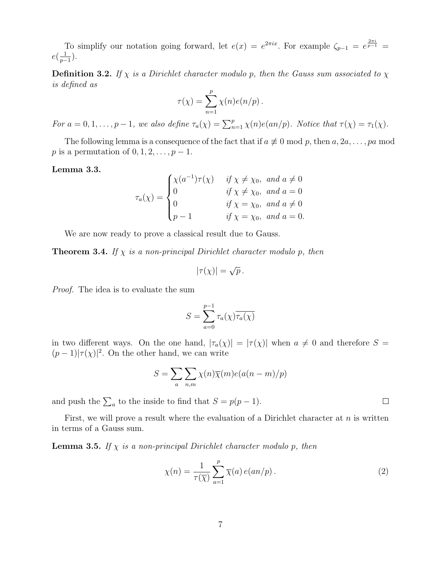To simplify our notation going forward, let  $e(x) = e^{2\pi ix}$ . For example  $\zeta_{p-1} = e^{\frac{2\pi i}{p-1}} =$  $e\left(\frac{1}{n}\right)$  $\frac{1}{p-1}$ ).

**Definition 3.2.** If  $\chi$  is a Dirichlet character modulo p, then the Gauss sum associated to  $\chi$ is defined as

$$
\tau(\chi) = \sum_{n=1}^p \chi(n) e(n/p) .
$$

For  $a = 0, 1, \ldots, p-1$ , we also define  $\tau_a(\chi) = \sum_{n=1}^p \chi(n) e(an/p)$ . Notice that  $\tau(\chi) = \tau_1(\chi)$ .

The following lemma is a consequence of the fact that if  $a \not\equiv 0 \mod p$ , then  $a, 2a, \ldots, pa \mod p$ p is a permutation of  $0, 1, 2, \ldots, p-1$ .

#### Lemma 3.3.

$$
\tau_a(\chi) = \begin{cases}\n\chi(a^{-1})\tau(\chi) & \text{if } \chi \neq \chi_0, \text{ and } a \neq 0 \\
0 & \text{if } \chi \neq \chi_0, \text{ and } a = 0 \\
0 & \text{if } \chi = \chi_0, \text{ and } a \neq 0 \\
p - 1 & \text{if } \chi = \chi_0, \text{ and } a = 0.\n\end{cases}
$$

We are now ready to prove a classical result due to Gauss.

**Theorem 3.4.** If  $\chi$  is a non-principal Dirichlet character modulo p, then

$$
|\tau(\chi)| = \sqrt{p}.
$$

Proof. The idea is to evaluate the sum

$$
S = \sum_{a=0}^{p-1} \tau_a(\chi) \overline{\tau_a(\chi)}
$$

in two different ways. On the one hand,  $|\tau_a(\chi)| = |\tau(\chi)|$  when  $a \neq 0$  and therefore  $S =$  $(p-1)|\tau(\chi)|^2$ . On the other hand, we can write

$$
S = \sum_{a} \sum_{n,m} \chi(n) \overline{\chi}(m) e(a(n-m)/p)
$$

and push the  $\sum_a$  to the inside to find that  $S = p(p-1)$ .

First, we will prove a result where the evaluation of a Dirichlet character at  $n$  is written in terms of a Gauss sum.

**Lemma 3.5.** If  $\chi$  is a non-principal Dirichlet character modulo p, then

$$
\chi(n) = \frac{1}{\tau(\overline{\chi})} \sum_{a=1}^{p} \overline{\chi}(a) e(an/p).
$$
 (2)

 $\Box$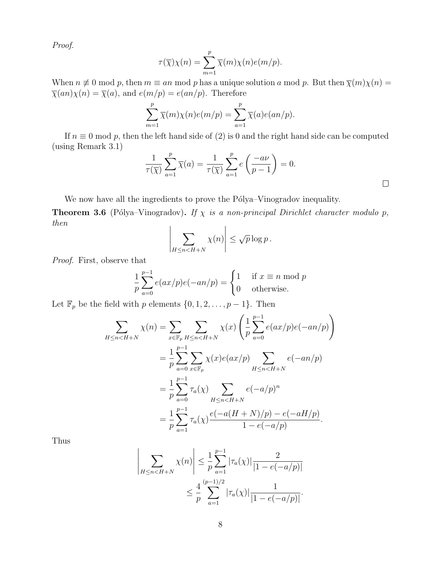Proof.

$$
\tau(\overline{\chi})\chi(n) = \sum_{m=1}^{p} \overline{\chi}(m)\chi(n)e(m/p).
$$

When  $n \neq 0$  mod p, then  $m \equiv an \mod p$  has a unique solution a mod p. But then  $\overline{\chi}(m)\chi(n) =$  $\overline{\chi}(an)\chi(n) = \overline{\chi}(a)$ , and  $e(m/p) = e(an/p)$ . Therefore

$$
\sum_{m=1}^{p} \overline{\chi}(m)\chi(n)e(m/p) = \sum_{a=1}^{p} \overline{\chi}(a)e(an/p).
$$

If  $n \equiv 0 \mod p$ , then the left hand side of (2) is 0 and the right hand side can be computed (using Remark 3.1)

$$
\frac{1}{\tau(\overline{\chi})} \sum_{a=1}^{p} \overline{\chi}(a) = \frac{1}{\tau(\overline{\chi})} \sum_{a=1}^{p} e\left(\frac{-a\nu}{p-1}\right) = 0.
$$

 $\Box$ 

We now have all the ingredients to prove the Pólya–Vinogradov inequality.

**Theorem 3.6** (Pólya–Vinogradov). If  $\chi$  is a non-principal Dirichlet character modulo p, then  $\overline{\phantom{a}}$ 

$$
\sum_{H \leq n < H + N} \chi(n) \bigg| \leq \sqrt{p} \log p \, .
$$

Proof. First, observe that

$$
\frac{1}{p} \sum_{a=0}^{p-1} e(ax/p)e(-an/p) = \begin{cases} 1 & \text{if } x \equiv n \text{ mod } p \\ 0 & \text{otherwise.} \end{cases}
$$

Let  $\mathbb{F}_p$  be the field with p elements  $\{0, 1, 2, \ldots, p-1\}$ . Then

 

$$
\sum_{H \le n < H+N} \chi(n) = \sum_{x \in \mathbb{F}_p} \sum_{H \le n < H+N} \chi(x) \left( \frac{1}{p} \sum_{a=0}^{p-1} e(ax/p) e(-an/p) \right)
$$
  
= 
$$
\frac{1}{p} \sum_{a=0}^{p-1} \sum_{x \in \mathbb{F}_p} \chi(x) e(ax/p) \sum_{H \le n < H+N} e(-an/p)
$$
  
= 
$$
\frac{1}{p} \sum_{a=0}^{p-1} \tau_a(\chi) \sum_{H \le n < H+N} e(-a/p)^n
$$
  
= 
$$
\frac{1}{p} \sum_{a=1}^{p-1} \tau_a(\chi) \frac{e(-a(H+N)/p) - e(-aH/p)}{1 - e(-a/p)}.
$$

Thus

$$
\left| \sum_{H \le n < H + N} \chi(n) \right| \le \frac{1}{p} \sum_{a=1}^{p-1} |\tau_a(\chi)| \frac{2}{|1 - e(-a/p)|} \le \frac{4}{p} \sum_{a=1}^{(p-1)/2} |\tau_a(\chi)| \frac{1}{|1 - e(-a/p)|}.
$$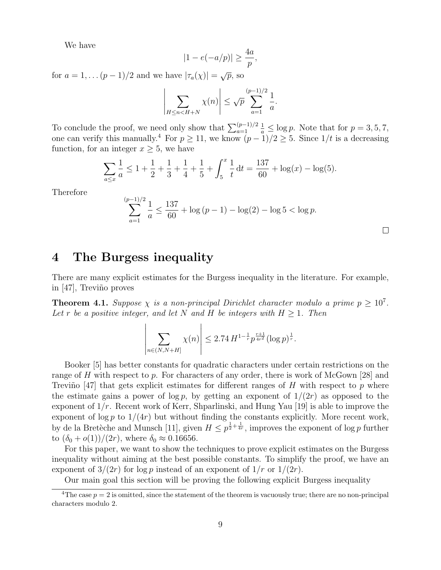We have

$$
|1 - e(-a/p)| \ge \frac{4a}{p},
$$

for  $a = 1, \ldots (p-1)/2$  and we have  $|\tau_a(\chi)| = \sqrt{p}$ , so

$$
\left|\sum_{H\leq n
$$

To conclude the proof, we need only show that  $\sum_{a=1}^{(p-1)/2}$  $\frac{1}{a} \leq \log p$ . Note that for  $p = 3, 5, 7$ , one can verify this manually.<sup>4</sup> For  $p \ge 11$ , we know  $(p-1)/2 \ge 5$ . Since  $1/t$  is a decreasing function, for an integer  $x \geq 5$ , we have

$$
\sum_{a \le x} \frac{1}{a} \le 1 + \frac{1}{2} + \frac{1}{3} + \frac{1}{4} + \frac{1}{5} + \int_5^x \frac{1}{t} dt = \frac{137}{60} + \log(x) - \log(5).
$$

Therefore

$$
\sum_{a=1}^{(p-1)/2} \frac{1}{a} \le \frac{137}{60} + \log(p-1) - \log(2) - \log 5 < \log p.
$$

### 4 The Burgess inequality

There are many explicit estimates for the Burgess inequality in the literature. For example, in  $[47]$ , Treviño proves

**Theorem 4.1.** Suppose  $\chi$  is a non-principal Dirichlet character modulo a prime  $p \geq 10^7$ . Let r be a positive integer, and let N and H be integers with  $H > 1$ . Then

$$
\left| \sum_{n \in (N, N+H]} \chi(n) \right| \leq 2.74 \, H^{1-\frac{1}{r}} p^{\frac{r+1}{4r^2}} (\log p)^{\frac{1}{r}}.
$$

Booker [5] has better constants for quadratic characters under certain restrictions on the range of H with respect to p. For characters of any order, there is work of McGown [28] and Treviño [47] that gets explicit estimates for different ranges of H with respect to p where the estimate gains a power of  $\log p$ , by getting an exponent of  $1/(2r)$  as opposed to the exponent of  $1/r$ . Recent work of Kerr, Shparlinski, and Hung Yau [19] is able to improve the exponent of  $\log p$  to  $1/(4r)$  but without finding the constants explicitly. More recent work, by de la Bretèche and Munsch [11], given  $H \leq p^{\frac{1}{2} + \frac{1}{4r}}$ , improves the exponent of log p further to  $(\delta_0 + o(1))/(2r)$ , where  $\delta_0 \approx 0.16656$ .

For this paper, we want to show the techniques to prove explicit estimates on the Burgess inequality without aiming at the best possible constants. To simplify the proof, we have an exponent of  $3/(2r)$  for log p instead of an exponent of  $1/r$  or  $1/(2r)$ .

Our main goal this section will be proving the following explicit Burgess inequality

<sup>&</sup>lt;sup>4</sup>The case  $p = 2$  is omitted, since the statement of the theorem is vacuously true; there are no non-principal characters modulo 2.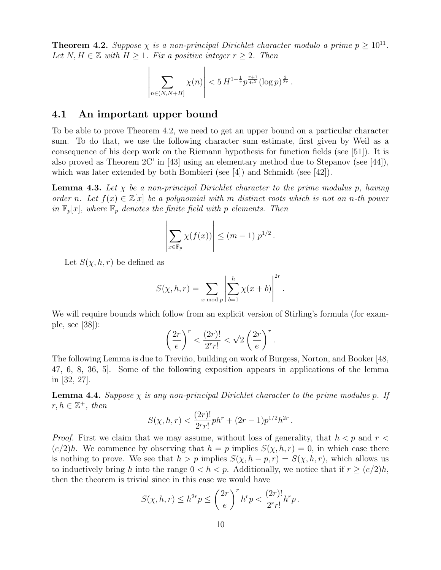**Theorem 4.2.** Suppose  $\chi$  is a non-principal Dirichlet character modulo a prime  $p \ge 10^{11}$ . Let  $N, H \in \mathbb{Z}$  with  $H \geq 1$ . Fix a positive integer  $r \geq 2$ . Then

$$
\left| \sum_{n \in (N, N+H]} \chi(n) \right| < 5 \, H^{1-\frac{1}{r}} p^{\frac{r+1}{4r^2}} (\log p)^{\frac{3}{2r}} \, .
$$

### 4.1 An important upper bound

To be able to prove Theorem 4.2, we need to get an upper bound on a particular character sum. To do that, we use the following character sum estimate, first given by Weil as a consequence of his deep work on the Riemann hypothesis for function fields (see [51]). It is also proved as Theorem 2C' in [43] using an elementary method due to Stepanov (see [44]), which was later extended by both Bombieri (see [4]) and Schmidt (see [42]).

**Lemma 4.3.** Let  $\chi$  be a non-principal Dirichlet character to the prime modulus p, having order n. Let  $f(x) \in \mathbb{Z}[x]$  be a polynomial with m distinct roots which is not an n-th power in  $\mathbb{F}_p[x]$ , where  $\mathbb{F}_p$  denotes the finite field with p elements. Then

$$
\left|\sum_{x\in\mathbb{F}_p}\chi(f(x))\right|\leq (m-1)\;p^{1/2}\,.
$$

Let  $S(\chi, h, r)$  be defined as

$$
S(\chi, h, r) = \sum_{x \bmod p} \left| \sum_{b=1}^{h} \chi(x+b) \right|^{2r}.
$$

We will require bounds which follow from an explicit version of Stirling's formula (for example, see [38]):

$$
\left(\frac{2r}{e}\right)^r < \frac{(2r)!}{2^r r!} < \sqrt{2} \left(\frac{2r}{e}\right)^r.
$$

The following Lemma is due to Treviño, building on work of Burgess, Norton, and Booker [48, 47, 6, 8, 36, 5]. Some of the following exposition appears in applications of the lemma in [32, 27].

**Lemma 4.4.** Suppose  $\chi$  is any non-principal Dirichlet character to the prime modulus p. If  $r, h \in \mathbb{Z}^+, \text{ then}$ 

$$
S(\chi, h, r) < \frac{(2r)!}{2^r r!} p h^r + (2r - 1) p^{1/2} h^{2r} \, .
$$

*Proof.* First we claim that we may assume, without loss of generality, that  $h < p$  and  $r <$  $(e/2)h$ . We commence by observing that  $h = p$  implies  $S(\chi, h, r) = 0$ , in which case there is nothing to prove. We see that  $h > p$  implies  $S(\chi, h - p, r) = S(\chi, h, r)$ , which allows us to inductively bring h into the range  $0 < h < p$ . Additionally, we notice that if  $r \ge (e/2)h$ , then the theorem is trivial since in this case we would have

$$
S(\chi, h, r) \le h^{2r} p \le \left(\frac{2r}{e}\right)^r h^r p < \frac{(2r)!}{2^r r!} h^r p \, .
$$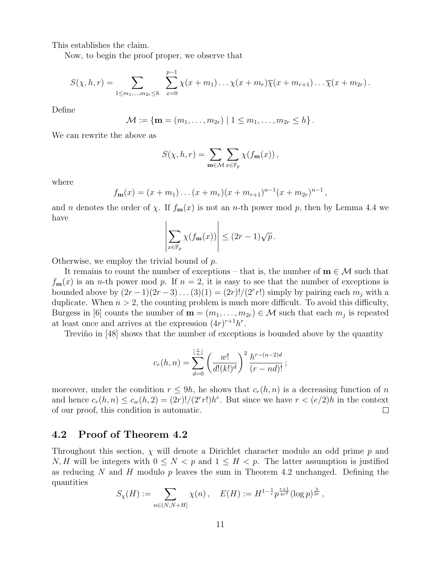This establishes the claim.

Now, to begin the proof proper, we observe that

$$
S(\chi, h, r) = \sum_{1 \leq m_1, \dots, m_{2r} \leq h} \sum_{x=0}^{p-1} \chi(x+m_1) \dots \chi(x+m_r) \overline{\chi}(x+m_{r+1}) \dots \overline{\chi}(x+m_{2r}).
$$

Define

$$
\mathcal{M} := \{ \mathbf{m} = (m_1, \ldots, m_{2r}) \mid 1 \leq m_1, \ldots, m_{2r} \leq h \}.
$$

We can rewrite the above as

$$
S(\chi, h, r) = \sum_{\mathbf{m} \in \mathcal{M}} \sum_{x \in \mathbb{F}_p} \chi(f_{\mathbf{m}}(x)),
$$

where

$$
f_{\mathbf{m}}(x) = (x + m_1) \dots (x + m_r)(x + m_{r+1})^{n-1}(x + m_{2r})^{n-1},
$$

and *n* denotes the order of  $\chi$ . If  $f_m(x)$  is not an *n*-th power mod *p*, then by Lemma 4.4 we have

$$
\left|\sum_{x\in\mathbb{F}_p}\chi(f_{\mathbf{m}}(x))\right|\leq (2r-1)\sqrt{p}.
$$

Otherwise, we employ the trivial bound of p.

It remains to count the number of exceptions – that is, the number of  $\mathbf{m} \in \mathcal{M}$  such that  $f_m(x)$  is an *n*-th power mod p. If  $n = 2$ , it is easy to see that the number of exceptions is bounded above by  $(2r-1)(2r-3)...(3)(1) = (2r)!/(2^r r!)$  simply by pairing each  $m_j$  with a duplicate. When  $n > 2$ , the counting problem is much more difficult. To avoid this difficulty, Burgess in [6] counts the number of  $\mathbf{m} = (m_1, \ldots, m_{2r}) \in \mathcal{M}$  such that each  $m_j$  is repeated at least once and arrives at the expression  $(4r)^{r+1}h^r$ .

Treviño in [48] shows that the number of exceptions is bounded above by the quantity

$$
c_r(h,n) = \sum_{d=0}^{\lfloor \frac{r}{n} \rfloor} \left( \frac{w!}{d!(k!)^d} \right)^2 \frac{h^{r-(n-2)d}}{(r-nd)!};
$$

moreover, under the condition  $r \leq 9h$ , he shows that  $c_r(h, n)$  is a decreasing function of n and hence  $c_r(h,n) \leq c_w(h,2) = (2r)!/(2^r r!)h^r$ . But since we have  $r < (e/2)h$  in the context of our proof, this condition is automatic.  $\Box$ 

### 4.2 Proof of Theorem 4.2

Throughout this section,  $\chi$  will denote a Dirichlet character modulo an odd prime  $p$  and N, H will be integers with  $0 \leq N < p$  and  $1 \leq H < p$ . The latter assumption is justified as reducing N and H modulo p leaves the sum in Theorem 4.2 unchanged. Defining the quantities

$$
S_{\chi}(H) := \sum_{n \in (N, N+H]} \chi(n) , \quad E(H) := H^{1-\frac{1}{r}} p^{\frac{r+1}{4r^2}} (\log p)^{\frac{3}{2r}} ,
$$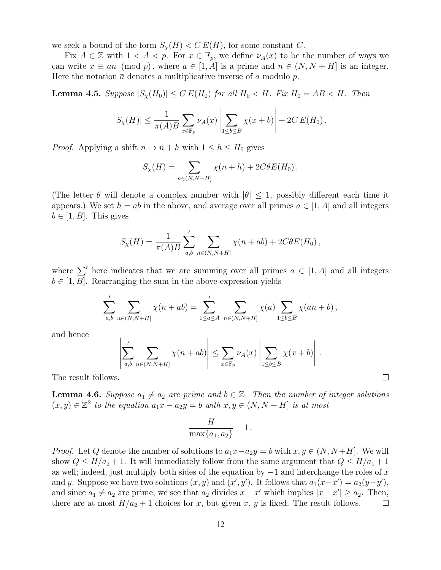we seek a bound of the form  $S_{\chi}(H) < C E(H)$ , for some constant C.

Fix  $A \in \mathbb{Z}$  with  $1 < A < p$ . For  $x \in \mathbb{F}_p$ , we define  $\nu_A(x)$  to be the number of ways we can write  $x \equiv \overline{a}n \pmod{p}$ , where  $a \in [1, A]$  is a prime and  $n \in (N, N + H]$  is an integer. Here the notation  $\bar{a}$  denotes a multiplicative inverse of a modulo p.

**Lemma 4.5.** Suppose  $|S_{\chi}(H_0)| \leq C E(H_0)$  for all  $H_0 < H$ . Fix  $H_0 = AB < H$ . Then

$$
|S_{\chi}(H)| \leq \frac{1}{\pi(A)B} \sum_{x \in \mathbb{F}_p} \nu_A(x) \left| \sum_{1 \leq b \leq B} \chi(x+b) \right| + 2C E(H_0).
$$

*Proof.* Applying a shift  $n \mapsto n + h$  with  $1 \leq h \leq H_0$  gives

$$
S_{\chi}(H) = \sum_{n \in (N, N+H]} \chi(n+h) + 2C\theta E(H_0).
$$

(The letter  $\theta$  will denote a complex number with  $|\theta| \leq 1$ , possibly different each time it appears.) We set  $h = ab$  in the above, and average over all primes  $a \in [1, A]$  and all integers  $b \in [1, B]$ . This gives

$$
S_{\chi}(H) = \frac{1}{\pi(A)B} \sum'_{a,b} \sum_{n \in (N,N+H]} \chi(n+ab) + 2C\theta E(H_0),
$$

where  $\sum'$  here indicates that we are summing over all primes  $a \in [1, A]$  and all integers  $b \in [1, B]$ . Rearranging the sum in the above expression yields

$$
\sum'_{a,b} \sum_{n \in (N,N+H]} \chi(n+ab) = \sum'_{1 \le a \le A} \sum_{n \in (N,N+H]} \chi(a) \sum_{1 \le b \le B} \chi(\overline{a}n+b) ,
$$

and hence

$$
\left|\sum_{a,b}^{\prime} \sum_{n \in (N,N+H]} \chi(n+ab)\right| \leq \sum_{x \in \mathbb{F}_p} \nu_A(x) \left|\sum_{1 \leq b \leq B} \chi(x+b)\right|.
$$

 $\Box$ 

The result follows.

**Lemma 4.6.** Suppose  $a_1 \neq a_2$  are prime and  $b \in \mathbb{Z}$ . Then the number of integer solutions  $(x, y) \in \mathbb{Z}^2$  to the equation  $a_1x - a_2y = b$  with  $x, y \in (N, N + H]$  is at most

$$
\frac{H}{\max\{a_1, a_2\}} + 1.
$$

*Proof.* Let Q denote the number of solutions to  $a_1x-a_2y = b$  with  $x, y \in (N, N+H]$ . We will show  $Q \leq H/a_2 + 1$ . It will immediately follow from the same argument that  $Q \leq H/a_1 + 1$ as well; indeed, just multiply both sides of the equation by  $-1$  and interchange the roles of x and y. Suppose we have two solutions  $(x, y)$  and  $(x', y')$ . It follows that  $a_1(x-x') = a_2(y-y')$ , and since  $a_1 \neq a_2$  are prime, we see that  $a_2$  divides  $x - x'$  which implies  $|x - x'| \ge a_2$ . Then, there are at most  $H/a_2 + 1$  choices for x, but given x, y is fixed. The result follows.  $\Box$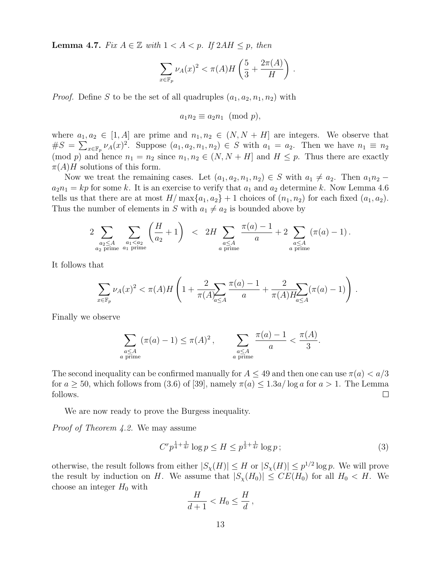**Lemma 4.7.** Fix  $A \in \mathbb{Z}$  with  $1 < A < p$ . If  $2AH \leq p$ , then

$$
\sum_{x \in \mathbb{F}_p} \nu_A(x)^2 < \pi(A)H\left(\frac{5}{3} + \frac{2\pi(A)}{H}\right) \, .
$$

*Proof.* Define S to be the set of all quadruples  $(a_1, a_2, n_1, n_2)$  with

$$
a_1 n_2 \equiv a_2 n_1 \pmod{p},
$$

where  $a_1, a_2 \in [1, A]$  are prime and  $n_1, n_2 \in (N, N + H]$  are integers. We observe that  $\#S = \sum_{x \in \mathbb{F}_p} \nu_A(x)^2$ . Suppose  $(a_1, a_2, n_1, n_2) \in S$  with  $a_1 = a_2$ . Then we have  $n_1 \equiv n_2$ (mod p) and hence  $n_1 = n_2$  since  $n_1, n_2 \in (N, N + H]$  and  $H \leq p$ . Thus there are exactly  $\pi(A)$ H solutions of this form.

Now we treat the remaining cases. Let  $(a_1, a_2, n_1, n_2) \in S$  with  $a_1 \neq a_2$ . Then  $a_1 n_2$  –  $a_2n_1 = kp$  for some k. It is an exercise to verify that  $a_1$  and  $a_2$  determine k. Now Lemma 4.6 tells us that there are at most  $H/\max\{a_1, a_2\} + 1$  choices of  $(n_1, n_2)$  for each fixed  $(a_1, a_2)$ . Thus the number of elements in S with  $a_1 \neq a_2$  is bounded above by

$$
2\sum_{\substack{a_2 \le A \\ a_2 \text{ prime}}} \sum_{\substack{a_1 < a_2 \\ a_1 \text{ prime}}} \left(\frac{H}{a_2} + 1\right) < 2H \sum_{\substack{a \le A \\ a \text{ prime}}} \frac{\pi(a) - 1}{a} + 2 \sum_{\substack{a \le A \\ a \text{ prime}}} (\pi(a) - 1).
$$

It follows that

$$
\sum_{x \in \mathbb{F}_p} \nu_A(x)^2 < \pi(A)H\left(1 + \frac{2}{\pi(A)} \sum_{a \le A} \frac{\pi(a) - 1}{a} + \frac{2}{\pi(A)H_{a \le A}} (\pi(a) - 1)\right).
$$

Finally we observe

$$
\sum_{\substack{a \le A \\ a \text{ prime}}} (\pi(a) - 1) \le \pi(A)^2, \qquad \sum_{\substack{a \le A \\ a \text{ prime}}} \frac{\pi(a) - 1}{a} < \frac{\pi(A)}{3}
$$

The second inequality can be confirmed manually for  $A \leq 49$  and then one can use  $\pi(a) < a/3$ for  $a \ge 50$ , which follows from (3.6) of [39], namely  $\pi(a) \le 1.3a/\log a$  for  $a > 1$ . The Lemma follows.  $\Box$ 

We are now ready to prove the Burgess inequality.

Proof of Theorem 4.2. We may assume

$$
C^r p^{\frac{1}{4} + \frac{1}{4r}} \log p \le H \le p^{\frac{1}{2} + \frac{1}{4r}} \log p \tag{3}
$$

.

otherwise, the result follows from either  $|S_{\chi}(H)| \leq H$  or  $|S_{\chi}(H)| \leq p^{1/2} \log p$ . We will prove the result by induction on H. We assume that  $|S_{\chi}(H_0)| \leq CE(H_0)$  for all  $H_0 < H$ . We choose an integer  $H_0$  with

$$
\frac{H}{d+1} < H_0 \le \frac{H}{d} \,,
$$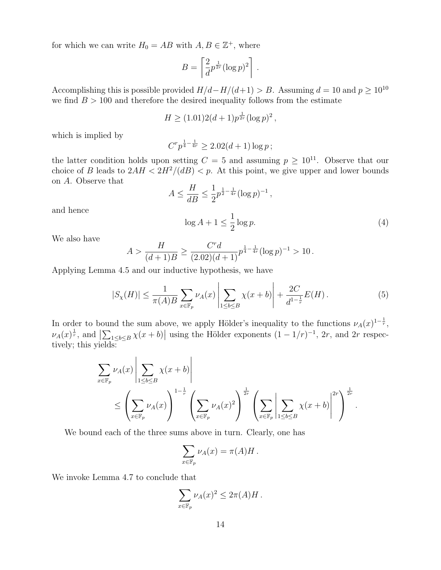for which we can write  $H_0 = AB$  with  $A, B \in \mathbb{Z}^+$ , where

$$
B = \left[\frac{2}{d}p^{\frac{1}{2r}}(\log p)^2\right].
$$

Accomplishing this is possible provided  $H/d-H/(d+1) > B$ . Assuming  $d = 10$  and  $p \ge 10^{10}$ we find  $B > 100$  and therefore the desired inequality follows from the estimate

$$
H \ge (1.01)2(d+1)p^{\frac{1}{2r}}(\log p)^2,
$$

which is implied by

$$
C^r p^{\frac{1}{4} - \frac{1}{4r}} \ge 2.02(d+1)\log p;
$$

the latter condition holds upon setting  $C = 5$  and assuming  $p \ge 10^{11}$ . Observe that our choice of B leads to  $2AH < 2H^2/(dB) < p$ . At this point, we give upper and lower bounds on A. Observe that  $\mathbf{r}$ 

$$
A \le \frac{H}{dB} \le \frac{1}{2} p^{\frac{1}{2} - \frac{1}{4r}} (\log p)^{-1},
$$
  

$$
\log A + 1 \le \frac{1}{2} \log p.
$$
 (4)

.

We also have

and hence

$$
A > \frac{H}{(d+1)B} \ge \frac{C^r d}{(2.02)(d+1)} p^{\frac{1}{4} - \frac{1}{4r}} (\log p)^{-1} > 10.
$$

Applying Lemma 4.5 and our inductive hypothesis, we have

$$
|S_{\chi}(H)| \le \frac{1}{\pi(A)B} \sum_{x \in \mathbb{F}_p} \nu_A(x) \left| \sum_{1 \le b \le B} \chi(x+b) \right| + \frac{2C}{d^{1-\frac{1}{r}}} E(H). \tag{5}
$$

In order to bound the sum above, we apply Hölder's inequality to the functions  $\nu_A(x)^{1-\frac{1}{r}}$ ,  $\nu_A(x)^\frac{1}{r}$ , and  $\left|\sum_{1\leq b\leq B}\chi(x+b)\right|$  using the Hölder exponents  $(1-1/r)^{-1}$ , 2r, and 2r respectively; this yields:

$$
\sum_{x \in \mathbb{F}_p} \nu_A(x) \left| \sum_{1 \le b \le B} \chi(x+b) \right|
$$
  
\n
$$
\le \left(\sum_{x \in \mathbb{F}_p} \nu_A(x)\right)^{1-\frac{1}{r}} \left(\sum_{x \in \mathbb{F}_p} \nu_A(x)^2\right)^{\frac{1}{2r}} \left(\sum_{x \in \mathbb{F}_p} \left|\sum_{1 \le b \le B} \chi(x+b)\right|^{2r}\right)^{\frac{1}{2r}}
$$

We bound each of the three sums above in turn. Clearly, one has

$$
\sum_{x \in \mathbb{F}_p} \nu_A(x) = \pi(A)H.
$$

We invoke Lemma 4.7 to conclude that

$$
\sum_{x \in \mathbb{F}_p} \nu_A(x)^2 \leq 2\pi(A)H.
$$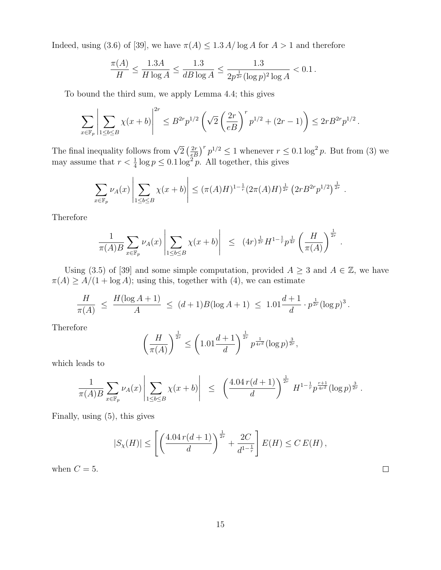Indeed, using (3.6) of [39], we have  $\pi(A) \leq 1.3$  A/log A for  $A > 1$  and therefore

$$
\frac{\pi(A)}{H} \le \frac{1.3A}{H \log A} \le \frac{1.3}{dB \log A} \le \frac{1.3}{2p^{\frac{1}{2r}} (\log p)^2 \log A} < 0.1.
$$

To bound the third sum, we apply Lemma 4.4; this gives

$$
\sum_{x\in \mathbb{F}_p} \left|\sum_{1\le b\le B} \chi(x+b)\right|^{2r} \le B^{2r}p^{1/2}\left(\sqrt{2}\left(\frac{2r}{eB}\right)^rp^{1/2}+(2r-1)\right)\le 2rB^{2r}p^{1/2}\,.
$$

The final inequality follows from  $\sqrt{2} \left(\frac{2r}{eB}\right)^r p^{1/2} \leq 1$  whenever  $r \leq 0.1 \log^2 p$ . But from (3) we may assume that  $r < \frac{1}{4} \log p \leq 0.1 \log^2 p$ . All together, this gives

$$
\sum_{x \in \mathbb{F}_p} \nu_A(x) \left| \sum_{1 \le b \le B} \chi(x+b) \right| \le (\pi(A)H)^{1-\frac{1}{r}} (2\pi(A)H)^{\frac{1}{2r}} \left( 2r B^{2r} p^{1/2} \right)^{\frac{1}{2r}}
$$

.

 $\Box$ 

Therefore

$$
\frac{1}{\pi(A)B}\sum_{x\in\mathbb{F}_p}\nu_A(x)\left|\sum_{1\le b\le B}\chi(x+b)\right| ~\leq ~ (4r)^{\frac{1}{2r}}H^{1-\frac{1}{r}}p^{\frac{1}{4r}}\left(\frac{H}{\pi(A)}\right)^{\frac{1}{2r}}{\,}.
$$

Using (3.5) of [39] and some simple computation, provided  $A \geq 3$  and  $A \in \mathbb{Z}$ , we have  $\pi(A) \geq A/(1 + \log A)$ ; using this, together with (4), we can estimate

$$
\frac{H}{\pi(A)} \ \leq \ \frac{H(\log A + 1)}{A} \ \leq \ (d+1)B(\log A + 1) \ \leq \ 1.01\frac{d+1}{d} \cdot p^{\frac{1}{2r}}(\log p)^3 \, .
$$

Therefore

$$
\left(\frac{H}{\pi(A)}\right)^{\frac{1}{2r}} \le \left(1.01\frac{d+1}{d}\right)^{\frac{1}{2r}} p^{\frac{1}{4r^2}} (\log p)^{\frac{3}{2r}},
$$

which leads to

$$
\frac{1}{\pi(A)B} \sum_{x \in \mathbb{F}_p} \nu_A(x) \left| \sum_{1 \le b \le B} \chi(x+b) \right| \le \left( \frac{4.04 r(d+1)}{d} \right)^{\frac{1}{2r}} H^{1-\frac{1}{r}} p^{\frac{r+1}{4r^2}} (\log p)^{\frac{3}{2r}}.
$$

Finally, using (5), this gives

$$
|S_{\chi}(H)| \le \left[ \left( \frac{4.04 r(d+1)}{d} \right)^{\frac{1}{2r}} + \frac{2C}{d^{1-\frac{1}{r}}} \right] E(H) \le C E(H),
$$

when  $C = 5$ .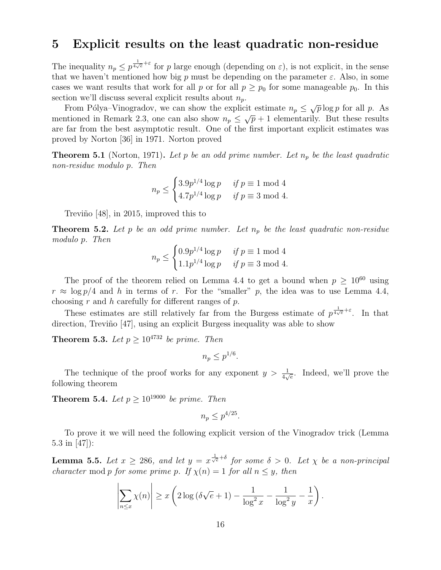### 5 Explicit results on the least quadratic non-residue

The inequality  $n_p \leq p^{\frac{1}{4\sqrt{\epsilon}}+\epsilon}$  for p large enough (depending on  $\varepsilon$ ), is not explicit, in the sense that we haven't mentioned how big p must be depending on the parameter  $\varepsilon$ . Also, in some cases we want results that work for all p or for all  $p \geq p_0$  for some manageable  $p_0$ . In this section we'll discuss several explicit results about  $n_p$ .

From Pólya–Vinogradov, we can show the explicit estimate  $n_p \leq \sqrt{p} \log p$  for all p. As mentioned in Remark 2.3, one can also show  $n_p \leq \sqrt{p} + 1$  elementarily. But these results are far from the best asymptotic result. One of the first important explicit estimates was proved by Norton [36] in 1971. Norton proved

**Theorem 5.1** (Norton, 1971). Let p be an odd prime number. Let  $n_p$  be the least quadratic non-residue modulo p. Then

$$
n_p \le \begin{cases} 3.9p^{1/4} \log p & \text{if } p \equiv 1 \text{ mod } 4 \\ 4.7p^{1/4} \log p & \text{if } p \equiv 3 \text{ mod } 4. \end{cases}
$$

Treviño [48], in 2015, improved this to

**Theorem 5.2.** Let p be an odd prime number. Let  $n_p$  be the least quadratic non-residue modulo p. Then

$$
n_p \le \begin{cases} 0.9p^{1/4} \log p & \text{if } p \equiv 1 \text{ mod } 4 \\ 1.1p^{1/4} \log p & \text{if } p \equiv 3 \text{ mod } 4. \end{cases}
$$

The proof of the theorem relied on Lemma 4.4 to get a bound when  $p \geq 10^{60}$  using  $r \approx \log p/4$  and h in terms of r. For the "smaller" p, the idea was to use Lemma 4.4, choosing r and h carefully for different ranges of p.

These estimates are still relatively far from the Burgess estimate of  $p^{\frac{1}{4\sqrt{e}}+\varepsilon}$ . In that direction, Treviño [47], using an explicit Burgess inequality was able to show

**Theorem 5.3.** Let  $p \geq 10^{4732}$  be prime. Then

 $n_p \leq p^{1/6}.$ 

The technique of the proof works for any exponent  $y > \frac{1}{4\sqrt{e}}$ . Indeed, we'll prove the following theorem

**Theorem 5.4.** Let  $p \ge 10^{19000}$  be prime. Then

$$
n_p \le p^{4/25}.
$$

To prove it we will need the following explicit version of the Vinogradov trick (Lemma 5.3 in [47]):

**Lemma 5.5.** Let  $x \ge 286$ , and let  $y = x^{\frac{1}{\sqrt{e}} + \delta}$  for some  $\delta > 0$ . Let  $\chi$  be a non-principal character mod p for some prime p. If  $\chi(n) = 1$  for all  $n \leq y$ , then

$$
\left|\sum_{n\leq x}\chi(n)\right| \geq x\left(2\log\left(\delta\sqrt{e}+1\right)-\frac{1}{\log^2 x}-\frac{1}{\log^2 y}-\frac{1}{x}\right).
$$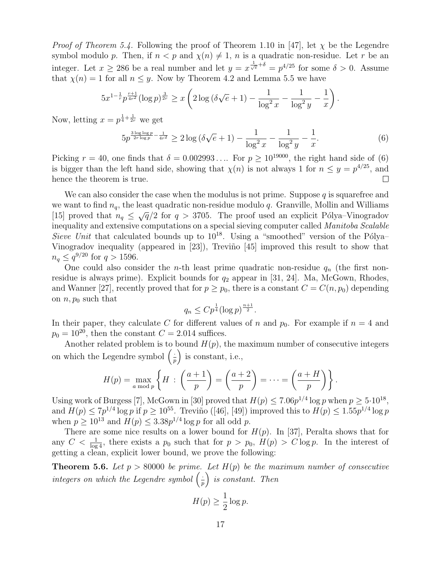*Proof of Theorem 5.4.* Following the proof of Theorem 1.10 in [47], let  $\chi$  be the Legendre symbol modulo p. Then, if  $n < p$  and  $\chi(n) \neq 1$ , n is a quadratic non-residue. Let r be an integer. Let  $x \ge 286$  be a real number and let  $y = x^{\frac{1}{\sqrt{e}} + \delta} = p^{4/25}$  for some  $\delta > 0$ . Assume that  $\chi(n) = 1$  for all  $n \leq y$ . Now by Theorem 4.2 and Lemma 5.5 we have

$$
5x^{1-\frac{1}{r}}p^{\frac{r+1}{4r^2}}(\log p)^{\frac{3}{2r}} \ge x\left(2\log\left(\delta\sqrt{e}+1\right)-\frac{1}{\log^2 x}-\frac{1}{\log^2 y}-\frac{1}{x}\right)
$$

Now, letting  $x = p^{\frac{1}{4} + \frac{1}{2r}}$  we get

$$
5p^{\frac{3\log\log p}{2r\log p} - \frac{1}{4r^2}} \ge 2\log\left(\delta\sqrt{e} + 1\right) - \frac{1}{\log^2 x} - \frac{1}{\log^2 y} - \frac{1}{x}.\tag{6}
$$

.

Picking  $r = 40$ , one finds that  $\delta = 0.002993...$  For  $p \ge 10^{19000}$ , the right hand side of (6) is bigger than the left hand side, showing that  $\chi(n)$  is not always 1 for  $n \leq y = p^{4/25}$ , and hence the theorem is true.  $\Box$ 

We can also consider the case when the modulus is not prime. Suppose q is squarefree and we want to find  $n_q$ , the least quadratic non-residue modulo q. Granville, Mollin and Williams (15) proved that  $n_q \leq \sqrt{q}/2$  for  $q > 3705$ . The proof used an explicit Pólya–Vinogradov inequality and extensive computations on a special sieving computer called Manitoba Scalable Sieve Unit that calculated bounds up to  $10^{18}$ . Using a "smoothed" version of the Pólya– Vinogradov inequality (appeared in [23]), Treviño [45] improved this result to show that  $n_q \leq q^{9/20}$  for  $q > 1596$ .

One could also consider the *n*-th least prime quadratic non-residue  $q_n$  (the first nonresidue is always prime). Explicit bounds for  $q_2$  appear in [31, 24]. Ma, McGown, Rhodes, and Wanner [27], recently proved that for  $p \ge p_0$ , there is a constant  $C = C(n, p_0)$  depending on  $n, p_0$  such that

$$
q_n \leq C p^{\frac{1}{4}} (\log p)^{\frac{n+1}{2}}.
$$

In their paper, they calculate C for different values of n and  $p_0$ . For example if  $n = 4$  and  $p_0 = 10^{20}$ , then the constant  $C = 2.014$  suffices.

Another related problem is to bound  $H(p)$ , the maximum number of consecutive integers on which the Legendre symbol  $\left(\frac{1}{r}\right)$  $\frac{1}{p}$  is constant, i.e.,

$$
H(p) = \max_{a \bmod p} \left\{ H : \left( \frac{a+1}{p} \right) = \left( \frac{a+2}{p} \right) = \cdots = \left( \frac{a+H}{p} \right) \right\}.
$$

Using work of Burgess [7], McGown in [30] proved that  $H(p) \leq 7.06p^{1/4} \log p$  when  $p \geq 5.10^{18}$ , and  $H(p) \le 7p^{1/4} \log p$  if  $p \ge 10^{55}$ . Treviño ([46], [49]) improved this to  $H(p) \le 1.55p^{1/4} \log p$ when  $p \ge 10^{13}$  and  $H(p) \le 3.38p^{1/4} \log p$  for all odd p.

There are some nice results on a lower bound for  $H(p)$ . In [37], Peralta shows that for any  $C < \frac{1}{\log 4}$ , there exists a  $p_0$  such that for  $p > p_0$ ,  $H(p) > C \log p$ . In the interest of getting a clean, explicit lower bound, we prove the following:

**Theorem 5.6.** Let  $p > 80000$  be prime. Let  $H(p)$  be the maximum number of consecutive integers on which the Legendre symbol  $\left(\frac{1}{r}\right)$  $\frac{1}{p}$  is constant. Then

$$
H(p) \ge \frac{1}{2} \log p.
$$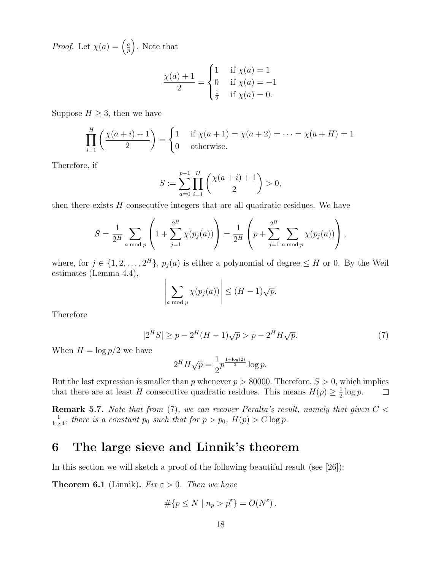*Proof.* Let  $\chi(a) = \frac{a}{b}$  $\left(\frac{a}{p}\right)$ . Note that

$$
\frac{\chi(a) + 1}{2} = \begin{cases} 1 & \text{if } \chi(a) = 1 \\ 0 & \text{if } \chi(a) = -1 \\ \frac{1}{2} & \text{if } \chi(a) = 0. \end{cases}
$$

Suppose  $H \geq 3$ , then we have

$$
\prod_{i=1}^{H} \left( \frac{\chi(a+i)+1}{2} \right) = \begin{cases} 1 & \text{if } \chi(a+1) = \chi(a+2) = \dots = \chi(a+H) = 1 \\ 0 & \text{otherwise.} \end{cases}
$$

Therefore, if

$$
S := \sum_{a=0}^{p-1} \prod_{i=1}^{H} \left( \frac{\chi(a+i)+1}{2} \right) > 0,
$$

then there exists  $H$  consecutive integers that are all quadratic residues. We have

$$
S = \frac{1}{2^H} \sum_{a \bmod p} \left( 1 + \sum_{j=1}^{2^H} \chi(p_j(a)) \right) = \frac{1}{2^H} \left( p + \sum_{j=1}^{2^H} \sum_{a \bmod p} \chi(p_j(a)) \right),
$$

where, for  $j \in \{1, 2, ..., 2^H\}$ ,  $p_j(a)$  is either a polynomial of degree  $\leq H$  or 0. By the Weil estimates (Lemma 4.4),

$$
\left|\sum_{a \bmod p} \chi(p_j(a))\right| \le (H-1)\sqrt{p}.
$$

Therefore

$$
|2^H S| \ge p - 2^H (H - 1)\sqrt{p} > p - 2^H H \sqrt{p}.
$$
 (7)

When  $H = \log p/2$  we have

$$
2^H H \sqrt{p} = \frac{1}{2} p^{\frac{1 + \log(2)}{2}} \log p.
$$

But the last expression is smaller than p whenever  $p > 80000$ . Therefore,  $S > 0$ , which implies that there are at least H consecutive quadratic residues. This means  $H(p) \geq \frac{1}{2}$  $rac{1}{2} \log p$ .  $\Box$ 

**Remark 5.7.** Note that from  $(7)$ , we can recover Peralta's result, namely that given  $C <$  $\frac{1}{\log 4}$ , there is a constant  $p_0$  such that for  $p > p_0$ ,  $H(p) > C \log p$ .

## 6 The large sieve and Linnik's theorem

In this section we will sketch a proof of the following beautiful result (see  $[26]$ ):

**Theorem 6.1** (Linnik). Fix  $\varepsilon > 0$ . Then we have

$$
\#\{p\leq N\mid n_p>p^{\varepsilon}\}=O(N^{\varepsilon})\,.
$$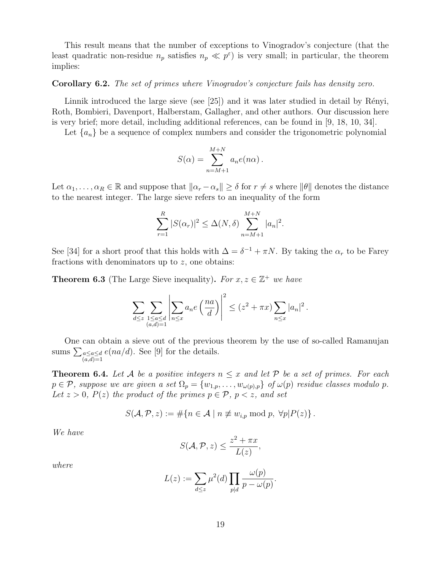This result means that the number of exceptions to Vinogradov's conjecture (that the least quadratic non-residue  $n_p$  satisfies  $n_p \ll p^{\epsilon}$  is very small; in particular, the theorem implies:

#### Corollary 6.2. The set of primes where Vinogradov's conjecture fails has density zero.

Linnik introduced the large sieve (see  $[25]$ ) and it was later studied in detail by Rényi, Roth, Bombieri, Davenport, Halberstam, Gallagher, and other authors. Our discussion here is very brief; more detail, including additional references, can be found in [9, 18, 10, 34].

Let  $\{a_n\}$  be a sequence of complex numbers and consider the trigonometric polynomial

$$
S(\alpha) = \sum_{n=M+1}^{M+N} a_n e(n\alpha).
$$

Let  $\alpha_1, \ldots, \alpha_R \in \mathbb{R}$  and suppose that  $\|\alpha_r - \alpha_s\| \geq \delta$  for  $r \neq s$  where  $\|\theta\|$  denotes the distance to the nearest integer. The large sieve refers to an inequality of the form

$$
\sum_{r=1}^{R} |S(\alpha_r)|^2 \le \Delta(N, \delta) \sum_{n=M+1}^{M+N} |a_n|^2.
$$

See [34] for a short proof that this holds with  $\Delta = \delta^{-1} + \pi N$ . By taking the  $\alpha_r$  to be Farey fractions with denominators up to z, one obtains:

**Theorem 6.3** (The Large Sieve inequality). For  $x, z \in \mathbb{Z}^+$  we have

$$
\sum_{d \leq z} \sum_{\substack{1 \leq a \leq d \\ (a,d)=1}} \left| \sum_{n \leq x} a_n e\left(\frac{na}{d}\right) \right|^2 \leq (z^2 + \pi x) \sum_{n \leq x} |a_n|^2.
$$

One can obtain a sieve out of the previous theorem by the use of so-called Ramanujan sums  $\sum_{a \leq a \leq d} e(na/d)$ . See [9] for the details.  $(a,d)=1$ 

**Theorem 6.4.** Let A be a positive integers  $n \leq x$  and let P be a set of primes. For each  $p \in \mathcal{P}$ , suppose we are given a set  $\Omega_p = \{w_{1,p}, \ldots, w_{\omega(p),p}\}\$  of  $\omega(p)$  residue classes modulo p. Let  $z > 0$ ,  $P(z)$  the product of the primes  $p \in \mathcal{P}$ ,  $p < z$ , and set

$$
S(\mathcal{A}, \mathcal{P}, z) := \# \{ n \in \mathcal{A} \mid n \not\equiv w_{i,p} \bmod p, \ \forall p | P(z) \}.
$$

We have

$$
S(\mathcal{A}, \mathcal{P}, z) \le \frac{z^2 + \pi x}{L(z)},
$$

where

$$
L(z) := \sum_{d \le z} \mu^2(d) \prod_{p|d} \frac{\omega(p)}{p - \omega(p)}.
$$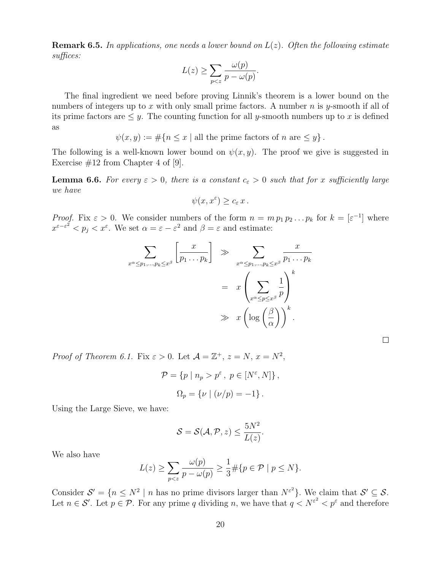**Remark 6.5.** In applications, one needs a lower bound on  $L(z)$ . Often the following estimate suffices:

$$
L(z) \ge \sum_{p < z} \frac{\omega(p)}{p - \omega(p)}.
$$

The final ingredient we need before proving Linnik's theorem is a lower bound on the numbers of integers up to x with only small prime factors. A number  $n$  is y-smooth if all of its prime factors are  $\leq y$ . The counting function for all y-smooth numbers up to x is defined as

 $\psi(x, y) := \#\{n \leq x \mid \text{all the prime factors of } n \text{ are } \leq y\}.$ 

The following is a well-known lower bound on  $\psi(x, y)$ . The proof we give is suggested in Exercise  $\#12$  from Chapter 4 of [9].

**Lemma 6.6.** For every  $\varepsilon > 0$ , there is a constant  $c_{\varepsilon} > 0$  such that for x sufficiently large we have

$$
\psi(x, x^{\varepsilon}) \geq c_{\varepsilon} x.
$$

*Proof.* Fix  $\varepsilon > 0$ . We consider numbers of the form  $n = m p_1 p_2 ... p_k$  for  $k = [\varepsilon^{-1}]$  where  $x^{\varepsilon-\varepsilon^2} < p_j < x^{\varepsilon}$ . We set  $\alpha = \varepsilon - \varepsilon^2$  and  $\beta = \varepsilon$  and estimate:

$$
\sum_{x^{\alpha} \leq p_1, \dots, p_k \leq x^{\beta}} \left[ \frac{x}{p_1 \dots p_k} \right] \gg \sum_{x^{\alpha} \leq p_1, \dots, p_k \leq x^{\beta}} \frac{x}{p_1 \dots p_k}
$$

$$
= x \left( \sum_{x^{\alpha} \leq p \leq x^{\beta}} \frac{1}{p} \right)^k
$$

$$
\gg x \left( \log \left( \frac{\beta}{\alpha} \right) \right)^k.
$$

*Proof of Theorem 6.1.* Fix  $\varepsilon > 0$ . Let  $\mathcal{A} = \mathbb{Z}^+, z = N, x = N^2$ ,

$$
\mathcal{P} = \{ p \mid n_p > p^{\varepsilon}, \ p \in [N^{\varepsilon}, N] \},
$$
  

$$
\Omega_p = \{ \nu \mid (\nu/p) = -1 \}.
$$

Using the Large Sieve, we have:

$$
\mathcal{S} = \mathcal{S}(\mathcal{A}, \mathcal{P}, z) \le \frac{5N^2}{L(z)}.
$$

We also have

$$
L(z) \ge \sum_{p < z} \frac{\omega(p)}{p - \omega(p)} \ge \frac{1}{3} \# \{ p \in \mathcal{P} \mid p \le N \}.
$$

Consider  $S' = \{n \leq N^2 \mid n \text{ has no prime divisors larger than } N^{\varepsilon^2}\}\.$  We claim that  $S' \subseteq S$ . Let  $n \in \mathcal{S}'$ . Let  $p \in \mathcal{P}$ . For any prime q dividing n, we have that  $q \lt N^{\varepsilon^2} \lt p^{\varepsilon}$  and therefore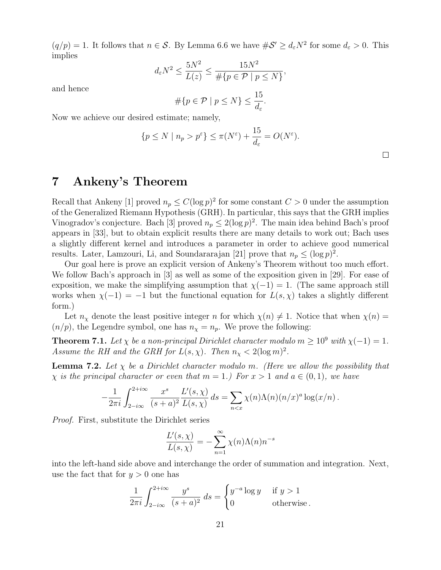$(q/p) = 1$ . It follows that  $n \in \mathcal{S}$ . By Lemma 6.6 we have  $\#\mathcal{S}' \geq d_{\varepsilon} N^2$  for some  $d_{\varepsilon} > 0$ . This implies

$$
d_{\varepsilon}N^2 \le \frac{5N^2}{L(z)} \le \frac{15N^2}{\#\{p \in \mathcal{P} \mid p \le N\}},
$$

and hence

$$
\#\{p \in \mathcal{P} \mid p \le N\} \le \frac{15}{d_{\varepsilon}}.
$$

Now we achieve our desired estimate; namely,

$$
\{p \le N \mid n_p > p^{\varepsilon}\} \le \pi(N^{\varepsilon}) + \frac{15}{d_{\varepsilon}} = O(N^{\varepsilon}).
$$

7 Ankeny's Theorem

Recall that Ankeny [1] proved  $n_p \leq C(\log p)^2$  for some constant  $C > 0$  under the assumption of the Generalized Riemann Hypothesis (GRH). In particular, this says that the GRH implies Vinogradov's conjecture. Bach [3] proved  $n_p \leq 2(\log p)^2$ . The main idea behind Bach's proof appears in [33], but to obtain explicit results there are many details to work out; Bach uses a slightly different kernel and introduces a parameter in order to achieve good numerical results. Later, Lamzouri, Li, and Soundararajan [21] prove that  $n_p \leq (\log p)^2$ .

Our goal here is prove an explicit version of Ankeny's Theorem without too much effort. We follow Bach's approach in [3] as well as some of the exposition given in [29]. For ease of exposition, we make the simplifying assumption that  $\chi(-1) = 1$ . (The same approach still works when  $\chi(-1) = -1$  but the functional equation for  $L(s, \chi)$  takes a slightly different form.)

Let  $n_{\chi}$  denote the least positive integer n for which  $\chi(n) \neq 1$ . Notice that when  $\chi(n)$  =  $(n/p)$ , the Legendre symbol, one has  $n_{\chi} = n_p$ . We prove the following:

**Theorem 7.1.** Let  $\chi$  be a non-principal Dirichlet character modulo  $m \geq 10^9$  with  $\chi(-1) = 1$ . Assume the RH and the GRH for  $L(s, \chi)$ . Then  $n_{\chi} < 2(\log m)^2$ .

**Lemma 7.2.** Let  $\chi$  be a Dirichlet character modulo m. (Here we allow the possibility that  $\chi$  is the principal character or even that  $m = 1$ .) For  $x > 1$  and  $a \in (0, 1)$ , we have

$$
-\frac{1}{2\pi i}\int_{2-i\infty}^{2+i\infty} \frac{x^s}{(s+a)^2}\frac{L'(s,\chi)}{L(s,\chi)}\,ds = \sum_{n\leq x} \chi(n)\Lambda(n)(n/x)^a \log(x/n)\,.
$$

Proof. First, substitute the Dirichlet series

$$
\frac{L'(s,\chi)}{L(s,\chi)} = -\sum_{n=1}^{\infty} \chi(n)\Lambda(n)n^{-s}
$$

into the left-hand side above and interchange the order of summation and integration. Next, use the fact that for  $y > 0$  one has

$$
\frac{1}{2\pi i} \int_{2-i\infty}^{2+i\infty} \frac{y^s}{(s+a)^2} ds = \begin{cases} y^{-a} \log y & \text{if } y > 1 \\ 0 & \text{otherwise.} \end{cases}
$$

 $\Box$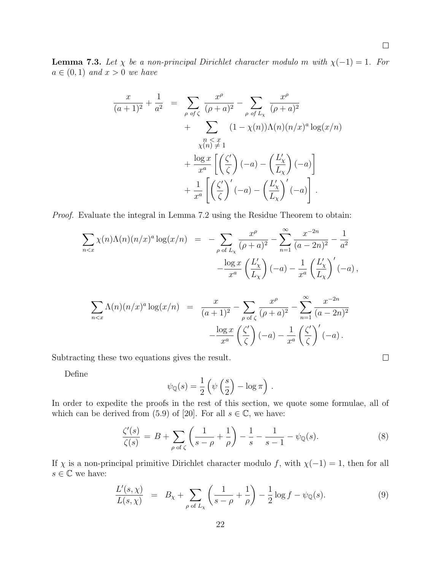$\Box$ 

**Lemma 7.3.** Let  $\chi$  be a non-principal Dirichlet character modulo m with  $\chi(-1) = 1$ . For  $a \in (0,1)$  and  $x > 0$  we have

$$
\frac{x}{(a+1)^2} + \frac{1}{a^2} = \sum_{\rho \text{ of } \zeta} \frac{x^{\rho}}{(\rho+a)^2} - \sum_{\rho \text{ of } L_{\chi}} \frac{x^{\rho}}{(\rho+a)^2} + \sum_{\substack{\chi \in \chi \text{ and } \chi \neq 1}} (1 - \chi(n)) \Lambda(n) (n/x)^a \log(x/n) + \frac{\log x}{x^a} \left[ \left(\frac{\zeta'}{\zeta}\right) (-a) - \left(\frac{L'_{\chi}}{L_{\chi}}\right) (-a) \right] + \frac{1}{x^a} \left[ \left(\frac{\zeta'}{\zeta}\right)' (-a) - \left(\frac{L'_{\chi}}{L_{\chi}}\right)' (-a) \right].
$$

Proof. Evaluate the integral in Lemma 7.2 using the Residue Theorem to obtain:

$$
\sum_{n < x} \chi(n) \Lambda(n) (n/x)^a \log(x/n) = - \sum_{\rho \text{ of } L_\chi} \frac{x^\rho}{(\rho + a)^2} - \sum_{n=1}^\infty \frac{x^{-2n}}{(a - 2n)^2} - \frac{1}{a^2} - \frac{\log x}{x^a} \left(\frac{L'_\chi}{L_\chi}\right) (-a) - \frac{1}{x^a} \left(\frac{L'_\chi}{L_\chi}\right)'(-a) \,,
$$

$$
\sum_{n < x} \Lambda(n)(n/x)^a \log(x/n) = \frac{x}{(a+1)^2} - \sum_{\rho \text{ of } \zeta} \frac{x^{\rho}}{(\rho+a)^2} - \sum_{n=1}^{\infty} \frac{x^{-2n}}{(a-2n)^2} - \frac{\log x}{x^a} \left(\frac{\zeta'}{\zeta}\right)'(-a) - \frac{1}{x^a} \left(\frac{\zeta'}{\zeta}\right)'(-a).
$$

Subtracting these two equations gives the result.

Define

$$
\psi_{\mathbb{Q}}(s) = \frac{1}{2} \left( \psi \left( \frac{s}{2} \right) - \log \pi \right) .
$$

In order to expedite the proofs in the rest of this section, we quote some formulae, all of which can be derived from (5.9) of [20]. For all  $s \in \mathbb{C}$ , we have:

$$
\frac{\zeta'(s)}{\zeta(s)} = B + \sum_{\rho \text{ of } \zeta} \left( \frac{1}{s - \rho} + \frac{1}{\rho} \right) - \frac{1}{s} - \frac{1}{s - 1} - \psi_{\mathbb{Q}}(s). \tag{8}
$$

If  $\chi$  is a non-principal primitive Dirichlet character modulo f, with  $\chi(-1) = 1$ , then for all  $s \in \mathbb{C}$  we have:

$$
\frac{L'(s,\chi)}{L(s,\chi)} = B_{\chi} + \sum_{\rho \text{ of } L_{\chi}} \left( \frac{1}{s-\rho} + \frac{1}{\rho} \right) - \frac{1}{2} \log f - \psi_{\mathbb{Q}}(s).
$$
\n(9)

 $\Box$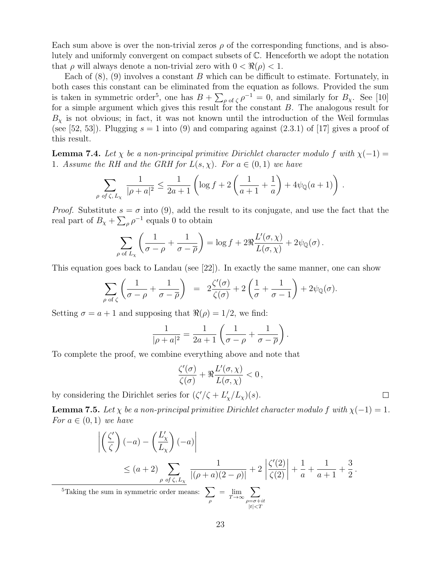Each sum above is over the non-trivial zeros  $\rho$  of the corresponding functions, and is absolutely and uniformly convergent on compact subsets of C. Henceforth we adopt the notation that  $\rho$  will always denote a non-trivial zero with  $0 < \Re(\rho) < 1$ .

Each of  $(8)$ ,  $(9)$  involves a constant B which can be difficult to estimate. Fortunately, in both cases this constant can be eliminated from the equation as follows. Provided the sum is taken in symmetric order<sup>5</sup>, one has  $B + \sum_{\rho \text{ of } \zeta} \rho^{-1} = 0$ , and similarly for  $B_{\chi}$ . See [10] for a simple argument which gives this result for the constant B. The analogous result for  $B_{\chi}$  is not obvious; in fact, it was not known until the introduction of the Weil formulas (see [52, 53]). Plugging  $s = 1$  into (9) and comparing against (2.3.1) of [17] gives a proof of this result.

**Lemma 7.4.** Let  $\chi$  be a non-principal primitive Dirichlet character modulo f with  $\chi(-1)$  = 1. Assume the RH and the GRH for  $L(s, \chi)$ . For  $a \in (0, 1)$  we have

$$
\sum_{\rho \text{ of } \zeta, L_{\chi}} \frac{1}{|\rho + a|^2} \le \frac{1}{2a+1} \left( \log f + 2 \left( \frac{1}{a+1} + \frac{1}{a} \right) + 4\psi_{\mathbb{Q}}(a+1) \right) \, .
$$

*Proof.* Substitute  $s = \sigma$  into (9), add the result to its conjugate, and use the fact that the real part of  $B_{\chi} + \sum_{\rho} \rho^{-1}$  equals 0 to obtain

$$
\sum_{\rho \text{ of } L_{\chi}} \left( \frac{1}{\sigma - \rho} + \frac{1}{\sigma - \overline{\rho}} \right) = \log f + 2\Re \frac{L'(\sigma, \chi)}{L(\sigma, \chi)} + 2\psi_{\mathbb{Q}}(\sigma).
$$

This equation goes back to Landau (see [22]). In exactly the same manner, one can show

$$
\sum_{\rho \text{ of } \zeta} \left( \frac{1}{\sigma - \rho} + \frac{1}{\sigma - \overline{\rho}} \right) = 2 \frac{\zeta'(\sigma)}{\zeta(\sigma)} + 2 \left( \frac{1}{\sigma} + \frac{1}{\sigma - 1} \right) + 2 \psi_{\mathbb{Q}}(\sigma).
$$

Setting  $\sigma = a + 1$  and supposing that  $\Re(\rho) = 1/2$ , we find:

$$
\frac{1}{|\rho+a|^2} = \frac{1}{2a+1} \left( \frac{1}{\sigma - \rho} + \frac{1}{\sigma - \overline{\rho}} \right).
$$

To complete the proof, we combine everything above and note that

$$
\frac{\zeta'(\sigma)}{\zeta(\sigma)} + \Re \frac{L'(\sigma, \chi)}{L(\sigma, \chi)} < 0\,,
$$

by considering the Dirichlet series for  $(\zeta'/\zeta + L'_\chi/L_\chi)(s)$ .

**Lemma 7.5.** Let  $\chi$  be a non-principal primitive Dirichlet character modulo f with  $\chi(-1) = 1$ . For  $a \in (0,1)$  we have

 $\Box$ 

$$
\left| \left( \frac{\zeta'}{\zeta} \right) (-a) - \left( \frac{L'_\chi}{L_\chi} \right) (-a) \right|
$$
\n
$$
\leq (a+2) \sum_{\rho \text{ of } \zeta, L_\chi} \frac{1}{|(\rho+a)(2-\rho)|} + 2 \left| \frac{\zeta'(2)}{\zeta(2)} \right| + \frac{1}{a} + \frac{1}{a+1} + \frac{3}{2}.
$$
\nThe sum in symmetric order means:

\n
$$
\sum_{\rho} = \lim_{T \to \infty} \sum_{\substack{\rho = \sigma + it \\ |t| < T}} \frac{1}{\zeta(2)}.
$$

 $5$ Taking the summer  $5$ ρ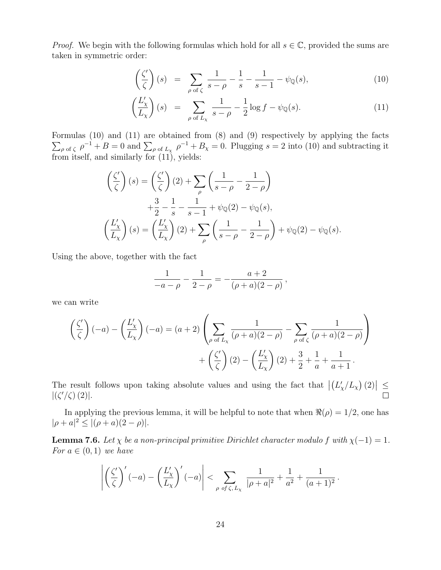*Proof.* We begin with the following formulas which hold for all  $s \in \mathbb{C}$ , provided the sums are taken in symmetric order:

$$
\left(\frac{\zeta'}{\zeta}\right)(s) = \sum_{\rho \text{ of } \zeta} \frac{1}{s-\rho} - \frac{1}{s} - \frac{1}{s-1} - \psi_{\mathbb{Q}}(s),\tag{10}
$$

$$
\left(\frac{L'_{\chi}}{L_{\chi}}\right)(s) = \sum_{\rho \text{ of } L_{\chi}} \frac{1}{s-\rho} - \frac{1}{2}\log f - \psi_{\mathbb{Q}}(s). \tag{11}
$$

Formulas (10) and (11) are obtained from (8) and (9) respectively by applying the facts  $\sum_{\rho \text{ of } \zeta} \rho^{-1} + B = 0$  and  $\sum_{\rho \text{ of } L_{\chi}} \rho^{-1} + B_{\chi} = 0$ . Plugging  $s = 2$  into (10) and subtracting it from itself, and similarly for (11), yields:

$$
\begin{aligned}\n\left(\frac{\zeta'}{\zeta}\right)(s) &= \left(\frac{\zeta'}{\zeta}\right)(2) + \sum_{\rho} \left(\frac{1}{s-\rho} - \frac{1}{2-\rho}\right) \\
&+ \frac{3}{2} - \frac{1}{s} - \frac{1}{s-1} + \psi_{\mathbb{Q}}(2) - \psi_{\mathbb{Q}}(s), \\
\left(\frac{L'_\chi}{L_\chi}\right)(s) &= \left(\frac{L'_\chi}{L_\chi}\right)(2) + \sum_{\rho} \left(\frac{1}{s-\rho} - \frac{1}{2-\rho}\right) + \psi_{\mathbb{Q}}(2) - \psi_{\mathbb{Q}}(s).\n\end{aligned}
$$

Using the above, together with the fact

$$
\frac{1}{-a-\rho} - \frac{1}{2-\rho} = -\frac{a+2}{(\rho+a)(2-\rho)},
$$

we can write

$$
\left(\frac{\zeta'}{\zeta}\right)(-a) - \left(\frac{L'_\chi}{L_\chi}\right)(-a) = (a+2)\left(\sum_{\rho \text{ of } L_\chi} \frac{1}{(\rho+a)(2-\rho)} - \sum_{\rho \text{ of } \zeta} \frac{1}{(\rho+a)(2-\rho)}\right) + \left(\frac{\zeta'}{\zeta}\right)(2) - \left(\frac{L'_\chi}{L_\chi}\right)(2) + \frac{3}{2} + \frac{1}{a} + \frac{1}{a+1}.
$$

The result follows upon taking absolute values and using the fact that  $|(L'_\chi/L_\chi)(2)| \le$  $|(\zeta'/\zeta)(2)|.$ 

In applying the previous lemma, it will be helpful to note that when  $\Re(\rho) = 1/2$ , one has  $|\rho + a|^2 \leq |(\rho + a)(2 - \rho)|$ .

**Lemma 7.6.** Let  $\chi$  be a non-principal primitive Dirichlet character modulo f with  $\chi(-1) = 1$ . For  $a \in (0,1)$  we have

$$
\left| \left( \frac{\zeta'}{\zeta} \right)'(-a) - \left( \frac{L'_\chi}{L_\chi} \right)'(-a) \right| < \sum_{\rho \text{ of } \zeta, L_\chi} \frac{1}{|\rho + a|^2} + \frac{1}{a^2} + \frac{1}{(a+1)^2} \, .
$$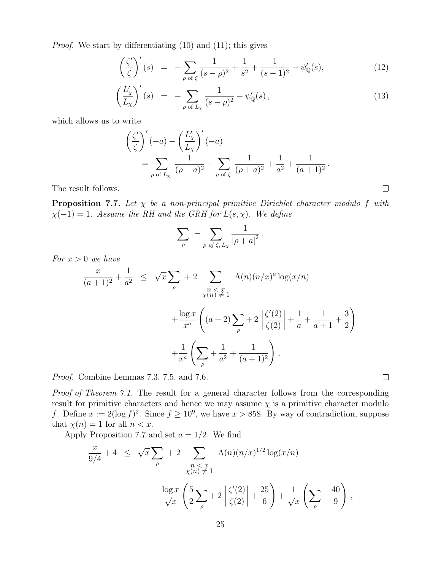Proof. We start by differentiating (10) and (11); this gives

$$
\left(\frac{\zeta'}{\zeta}\right)'(s) = -\sum_{\rho \text{ of } \zeta} \frac{1}{(s-\rho)^2} + \frac{1}{s^2} + \frac{1}{(s-1)^2} - \psi'_\mathbb{Q}(s),\tag{12}
$$

$$
\left(\frac{L'_{\chi}}{L_{\chi}}\right)'(s) = -\sum_{\rho \text{ of } L_{\chi}} \frac{1}{(s-\rho)^2} - \psi'_{\mathbb{Q}}(s),\tag{13}
$$

which allows us to write

$$
\left(\frac{\zeta'}{\zeta}\right)'(-a) - \left(\frac{L'_\chi}{L_\chi}\right)'(-a) \n= \sum_{\rho \text{ of } L_\chi} \frac{1}{(\rho + a)^2} - \sum_{\rho \text{ of } \zeta} \frac{1}{(\rho + a)^2} + \frac{1}{a^2} + \frac{1}{(a+1)^2}.
$$

The result follows.

**Proposition 7.7.** Let  $\chi$  be a non-principal primitive Dirichlet character modulo f with  $\chi(-1) = 1$ . Assume the RH and the GRH for  $L(s, \chi)$ . We define

$$
\sum_{\rho} := \sum_{\rho \text{ of } \zeta, L_{\chi}} \frac{1}{|\rho + a|^2}.
$$

For  $x > 0$  we have

$$
\frac{x}{(a+1)^2} + \frac{1}{a^2} \leq \sqrt{x} \sum_{\rho} + 2 \sum_{\substack{n \leq x \\ \chi(n) \neq 1}} \Lambda(n)(n/x)^a \log(x/n)
$$

$$
+ \frac{\log x}{x^a} \left( (a+2) \sum_{\rho} + 2 \left| \frac{\zeta'(2)}{\zeta(2)} \right| + \frac{1}{a} + \frac{1}{a+1} + \frac{3}{2} \right)
$$

$$
+ \frac{1}{x^a} \left( \sum_{\rho} + \frac{1}{a^2} + \frac{1}{(a+1)^2} \right).
$$

Proof. Combine Lemmas 7.3, 7.5, and 7.6.

Proof of Theorem 7.1. The result for a general character follows from the corresponding result for primitive characters and hence we may assume  $\chi$  is a primitive character modulo f. Define  $x := 2(\log f)^2$ . Since  $f \geq 10^9$ , we have  $x > 858$ . By way of contradiction, suppose that  $\chi(n) = 1$  for all  $n < x$ .

 $\Box$ 

Apply Proposition 7.7 and set  $a = 1/2$ . We find

$$
\frac{x}{9/4} + 4 \leq \sqrt{x} \sum_{\rho} + 2 \sum_{\substack{n \leq x \\ \sqrt{n} \text{ is odd}}} \Lambda(n)(n/x)^{1/2} \log(x/n) + \frac{\log x}{\sqrt{x}} \left( \frac{5}{2} \sum_{\rho} + 2 \left| \frac{\zeta'(2)}{\zeta(2)} \right| + \frac{25}{6} \right) + \frac{1}{\sqrt{x}} \left( \sum_{\rho} + \frac{40}{9} \right),
$$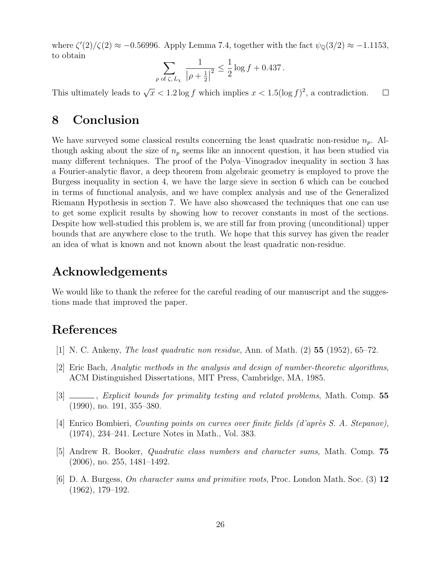where  $\zeta'(2)/\zeta(2) \approx -0.56996$ . Apply Lemma 7.4, together with the fact  $\psi_{\mathbb{Q}}(3/2) \approx -1.1153$ , to obtain

$$
\sum_{\rho \text{ of } \zeta, L_{\chi}} \frac{1}{|\rho + \frac{1}{2}|^2} \le \frac{1}{2} \log f + 0.437.
$$

This ultimately leads to  $\sqrt{x} < 1.2 \log f$  which implies  $x < 1.5(\log f)^2$ , a contradiction.  $\Box$ 

## 8 Conclusion

We have surveyed some classical results concerning the least quadratic non-residue  $n_p$ . Although asking about the size of  $n_p$  seems like an innocent question, it has been studied via many different techniques. The proof of the Polya–Vinogradov inequality in section 3 has a Fourier-analytic flavor, a deep theorem from algebraic geometry is employed to prove the Burgess inequality in section 4, we have the large sieve in section 6 which can be couched in terms of functional analysis, and we have complex analysis and use of the Generalized Riemann Hypothesis in section 7. We have also showcased the techniques that one can use to get some explicit results by showing how to recover constants in most of the sections. Despite how well-studied this problem is, we are still far from proving (unconditional) upper bounds that are anywhere close to the truth. We hope that this survey has given the reader an idea of what is known and not known about the least quadratic non-residue.

## Acknowledgements

We would like to thank the referee for the careful reading of our manuscript and the suggestions made that improved the paper.

# References

- [1] N. C. Ankeny, The least quadratic non residue, Ann. of Math. (2) 55 (1952), 65–72.
- [2] Eric Bach, Analytic methods in the analysis and design of number-theoretic algorithms, ACM Distinguished Dissertations, MIT Press, Cambridge, MA, 1985.
- [3] \_\_\_\_, Explicit bounds for primality testing and related problems, Math. Comp. 55 (1990), no. 191, 355–380.
- [4] Enrico Bombieri, *Counting points on curves over finite fields (d'après S. A. Stepanov)*, (1974), 234–241. Lecture Notes in Math., Vol. 383.
- [5] Andrew R. Booker, Quadratic class numbers and character sums, Math. Comp. 75 (2006), no. 255, 1481–1492.
- [6] D. A. Burgess, On character sums and primitive roots, Proc. London Math. Soc. (3) 12 (1962), 179–192.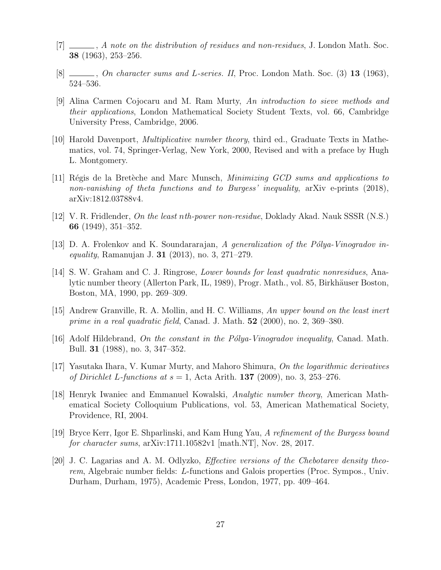- $[7]$   $\_\_\_\_\_$ , A note on the distribution of residues and non-residues, J. London Math. Soc. 38 (1963), 253–256.
- $[8]$  , On character sums and L-series. II, Proc. London Math. Soc.  $(3)$  13 (1963), 524–536.
- [9] Alina Carmen Cojocaru and M. Ram Murty, An introduction to sieve methods and their applications, London Mathematical Society Student Texts, vol. 66, Cambridge University Press, Cambridge, 2006.
- [10] Harold Davenport, Multiplicative number theory, third ed., Graduate Texts in Mathematics, vol. 74, Springer-Verlag, New York, 2000, Revised and with a preface by Hugh L. Montgomery.
- [11] Régis de la Bretèche and Marc Munsch, *Minimizing GCD sums and applications to* non-vanishing of theta functions and to Burgess' inequality, arXiv e-prints (2018), arXiv:1812.03788v4.
- [12] V. R. Fridlender, On the least nth-power non-residue, Doklady Akad. Nauk SSSR (N.S.) 66 (1949), 351–352.
- [13] D. A. Frolenkov and K. Soundararajan, A generalization of the Pólya-Vinogradov in*equality*, Ramanujan J. **31** (2013), no. 3, 271–279.
- [14] S. W. Graham and C. J. Ringrose, Lower bounds for least quadratic nonresidues, Analytic number theory (Allerton Park, IL, 1989), Progr. Math., vol. 85, Birkhäuser Boston, Boston, MA, 1990, pp. 269–309.
- [15] Andrew Granville, R. A. Mollin, and H. C. Williams, An upper bound on the least inert prime in a real quadratic field, Canad. J. Math.  $52$  (2000), no. 2, 369–380.
- [16] Adolf Hildebrand, On the constant in the Pólya-Vinogradov inequality, Canad. Math. Bull. 31 (1988), no. 3, 347–352.
- $[17]$  Yasutaka Ihara, V. Kumar Murty, and Mahoro Shimura, *On the logarithmic derivatives* of Dirichlet L-functions at  $s = 1$ , Acta Arith. **137** (2009), no. 3, 253–276.
- [18] Henryk Iwaniec and Emmanuel Kowalski, Analytic number theory, American Mathematical Society Colloquium Publications, vol. 53, American Mathematical Society, Providence, RI, 2004.
- [19] Bryce Kerr, Igor E. Shparlinski, and Kam Hung Yau, A refinement of the Burgess bound for character sums, arXiv:1711.10582v1 [math.NT], Nov. 28, 2017.
- [20] J. C. Lagarias and A. M. Odlyzko, Effective versions of the Chebotarev density theorem, Algebraic number fields: L-functions and Galois properties (Proc. Sympos., Univ. Durham, Durham, 1975), Academic Press, London, 1977, pp. 409–464.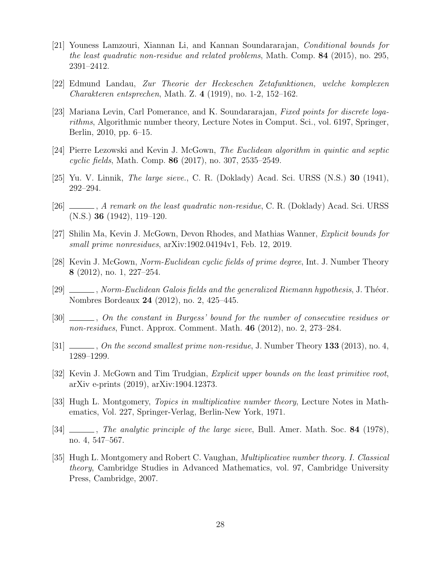- [21] Youness Lamzouri, Xiannan Li, and Kannan Soundararajan, Conditional bounds for the least quadratic non-residue and related problems, Math. Comp. 84 (2015), no. 295, 2391–2412.
- [22] Edmund Landau, Zur Theorie der Heckeschen Zetafunktionen, welche komplexen Charakteren entsprechen, Math. Z. 4 (1919), no. 1-2, 152–162.
- [23] Mariana Levin, Carl Pomerance, and K. Soundararajan, Fixed points for discrete logarithms, Algorithmic number theory, Lecture Notes in Comput. Sci., vol. 6197, Springer, Berlin, 2010, pp. 6–15.
- [24] Pierre Lezowski and Kevin J. McGown, The Euclidean algorithm in quintic and septic cyclic fields, Math. Comp. 86 (2017), no. 307, 2535–2549.
- [25] Yu. V. Linnik, *The large sieve.*, C. R. (Doklady) Acad. Sci. URSS  $(N.S.)$  **30** (1941), 292–294.
- [26]  $\ldots$ , A remark on the least quadratic non-residue, C. R. (Doklady) Acad. Sci. URSS (N.S.) 36 (1942), 119–120.
- [27] Shilin Ma, Kevin J. McGown, Devon Rhodes, and Mathias Wanner, Explicit bounds for small prime nonresidues, arXiv:1902.04194v1, Feb. 12, 2019.
- [28] Kevin J. McGown, Norm-Euclidean cyclic fields of prime degree, Int. J. Number Theory 8 (2012), no. 1, 227–254.
- $[29]$   $\_\_\_\_\_$ , Norm-Euclidean Galois fields and the generalized Riemann hypothesis, J. Théor. Nombres Bordeaux 24 (2012), no. 2, 425–445.
- [30]  $\ldots$ , On the constant in Burgess' bound for the number of consecutive residues or non-residues, Funct. Approx. Comment. Math. 46 (2012), no. 2, 273–284.
- [31]  $\_\_\_\_\_$ , On the second smallest prime non-residue, J. Number Theory 133 (2013), no. 4, 1289–1299.
- [32] Kevin J. McGown and Tim Trudgian, *Explicit upper bounds on the least primitive root*, arXiv e-prints (2019), arXiv:1904.12373.
- [33] Hugh L. Montgomery, Topics in multiplicative number theory, Lecture Notes in Mathematics, Vol. 227, Springer-Verlag, Berlin-New York, 1971.
- [34]  $\ldots$ , The analytic principle of the large sieve, Bull. Amer. Math. Soc. 84 (1978), no. 4, 547–567.
- [35] Hugh L. Montgomery and Robert C. Vaughan, Multiplicative number theory. I. Classical theory, Cambridge Studies in Advanced Mathematics, vol. 97, Cambridge University Press, Cambridge, 2007.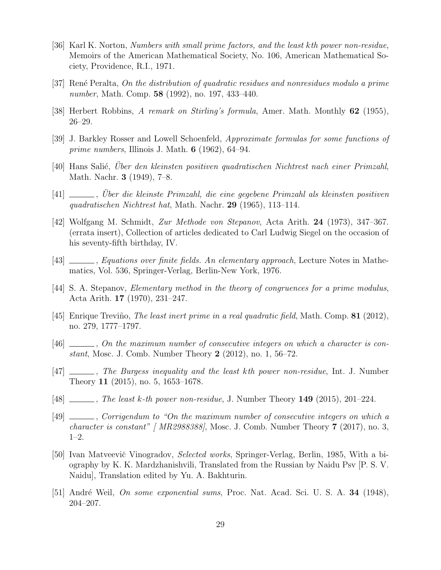- [36] Karl K. Norton, Numbers with small prime factors, and the least kth power non-residue, Memoirs of the American Mathematical Society, No. 106, American Mathematical Society, Providence, R.I., 1971.
- [37] Ren´e Peralta, On the distribution of quadratic residues and nonresidues modulo a prime number, Math. Comp. **58** (1992), no. 197, 433-440.
- [38] Herbert Robbins, A remark on Stirling's formula, Amer. Math. Monthly 62 (1955), 26–29.
- [39] J. Barkley Rosser and Lowell Schoenfeld, Approximate formulas for some functions of *prime numbers*, Illinois J. Math.  $6$  (1962), 64–94.
- [40] Hans Salié, Uber den kleinsten positiven quadratischen Nichtrest nach einer Primzahl, Math. Nachr. 3 (1949), 7–8.
- [41] , Über die kleinste Primzahl, die eine gegebene Primzahl als kleinsten positiven quadratischen Nichtrest hat, Math. Nachr. 29 (1965), 113–114.
- [42] Wolfgang M. Schmidt, Zur Methode von Stepanov, Acta Arith. 24 (1973), 347–367. (errata insert), Collection of articles dedicated to Carl Ludwig Siegel on the occasion of his seventy-fifth birthday, IV.
- [43]  $\_\_\_\_\_\$ , Equations over finite fields. An elementary approach, Lecture Notes in Mathematics, Vol. 536, Springer-Verlag, Berlin-New York, 1976.
- [44] S. A. Stepanov, Elementary method in the theory of congruences for a prime modulus, Acta Arith. 17 (1970), 231–247.
- [45] Enrique Treviño, *The least inert prime in a real quadratic field*, Math. Comp. **81** (2012), no. 279, 1777–1797.
- [46] , On the maximum number of consecutive integers on which a character is constant, Mosc. J. Comb. Number Theory 2 (2012), no. 1, 56–72.
- [47]  $\ldots$ , The Burgess inequality and the least kth power non-residue, Int. J. Number Theory 11 (2015), no. 5, 1653–1678.
- [48]  $\ldots$ , The least k-th power non-residue, J. Number Theory 149 (2015), 201–224.
- [49] \_\_\_\_, Corrigendum to "On the maximum number of consecutive integers on which a *character is constant"* [  $MR2988388$ ], Mosc. J. Comb. Number Theory 7 (2017), no. 3, 1–2.
- [50] Ivan Matveevič Vinogradov, *Selected works*, Springer-Verlag, Berlin, 1985, With a biography by K. K. Mardzhanishvili, Translated from the Russian by Naidu Psv [P. S. V. Naidu], Translation edited by Yu. A. Bakhturin.
- [51] André Weil, On some exponential sums, Proc. Nat. Acad. Sci. U. S. A. 34 (1948), 204–207.